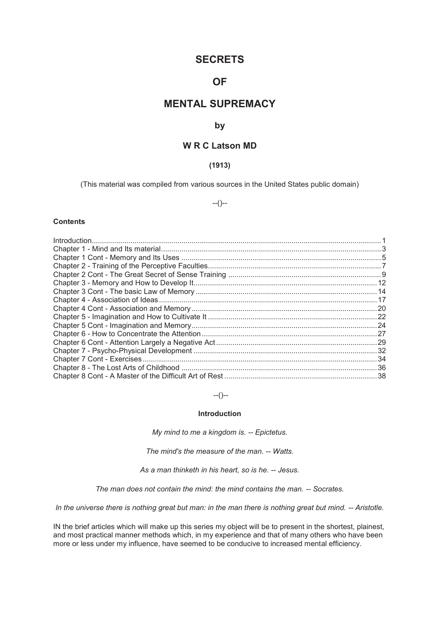# **SECRETS**

# **OF**

# **MENTAL SUPREMACY**

# **by**

# **W R C Latson MD**

# **(1913)**

(This material was compiled from various sources in the United States public domain)

--()--

## **Contents**

--()--

#### **Introduction**

*My mind to me a kingdom is. -- Epictetus.*

*The mind's the measure of the man. -- Watts.*

*As a man thinketh in his heart, so is he. -- Jesus.*

*The man does not contain the mind: the mind contains the man. -- Socrates.*

*In the universe there is nothing great but man: in the man there is nothing great but mind. -- Aristotle.*

IN the brief articles which will make up this series my object will be to present in the shortest, plainest, and most practical manner methods which, in my experience and that of many others who have been more or less under my influence, have seemed to be conducive to increased mental efficiency.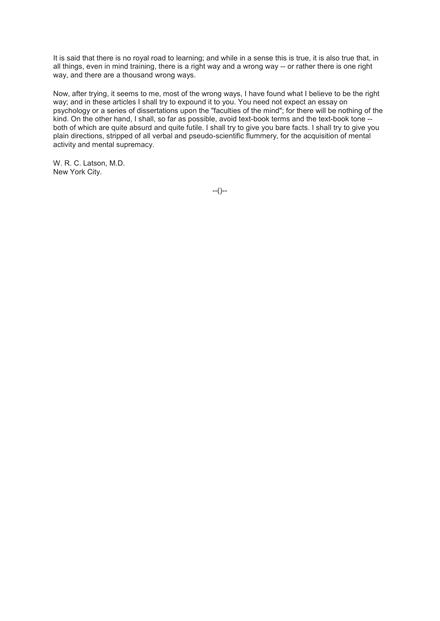It is said that there is no royal road to learning; and while in a sense this is true, it is also true that, in all things, even in mind training, there is a right way and a wrong way -- or rather there is one right way, and there are a thousand wrong ways.

Now, after trying, it seems to me, most of the wrong ways, I have found what I believe to be the right way; and in these articles I shall try to expound it to you. You need not expect an essay on psychology or a series of dissertations upon the "faculties of the mind"; for there will be nothing of the kind. On the other hand, I shall, so far as possible, avoid text-book terms and the text-book tone - both of which are quite absurd and quite futile. I shall try to give you bare facts. I shall try to give you plain directions, stripped of all verbal and pseudo-scientific flummery, for the acquisition of mental activity and mental supremacy.

W. R. C. Latson, M.D. New York City.

 $-(-)$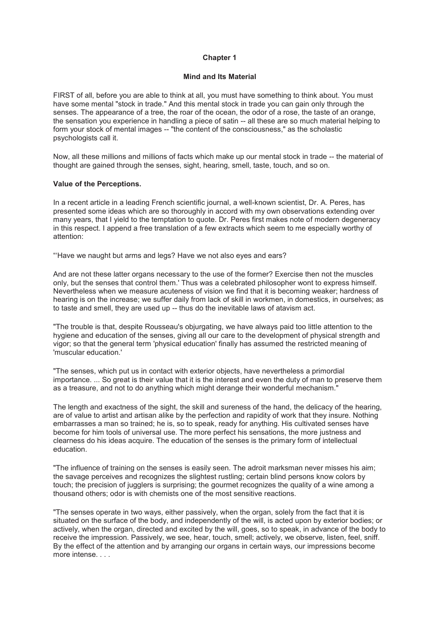# **Mind and Its Material**

FIRST of all, before you are able to think at all, you must have something to think about. You must have some mental "stock in trade." And this mental stock in trade you can gain only through the senses. The appearance of a tree, the roar of the ocean, the odor of a rose, the taste of an orange, the sensation you experience in handling a piece of satin -- all these are so much material helping to form your stock of mental images -- "the content of the consciousness," as the scholastic psychologists call it.

Now, all these millions and millions of facts which make up our mental stock in trade -- the material of thought are gained through the senses, sight, hearing, smell, taste, touch, and so on.

#### **Value of the Perceptions.**

In a recent article in a leading French scientific journal, a well-known scientist, Dr. A. Peres, has presented some ideas which are so thoroughly in accord with my own observations extending over many years, that I yield to the temptation to quote. Dr. Peres first makes note of modern degeneracy in this respect. I append a free translation of a few extracts which seem to me especially worthy of attention:

"'Have we naught but arms and legs? Have we not also eyes and ears?

And are not these latter organs necessary to the use of the former? Exercise then not the muscles only, but the senses that control them.' Thus was a celebrated philosopher wont to express himself. Nevertheless when we measure acuteness of vision we find that it is becoming weaker; hardness of hearing is on the increase; we suffer daily from lack of skill in workmen, in domestics, in ourselves; as to taste and smell, they are used up -- thus do the inevitable laws of atavism act.

"The trouble is that, despite Rousseau's objurgating, we have always paid too little attention to the hygiene and education of the senses, giving all our care to the development of physical strength and vigor; so that the general term 'physical education' finally has assumed the restricted meaning of 'muscular education.'

"The senses, which put us in contact with exterior objects, have nevertheless a primordial importance. ... So great is their value that it is the interest and even the duty of man to preserve them as a treasure, and not to do anything which might derange their wonderful mechanism."

The length and exactness of the sight, the skill and sureness of the hand, the delicacy of the hearing, are of value to artist and artisan alike by the perfection and rapidity of work that they insure. Nothing embarrasses a man so trained; he is, so to speak, ready for anything. His cultivated senses have become for him tools of universal use. The more perfect his sensations, the more justness and clearness do his ideas acquire. The education of the senses is the primary form of intellectual education.

"The influence of training on the senses is easily seen. The adroit marksman never misses his aim; the savage perceives and recognizes the slightest rustling; certain blind persons know colors by touch; the precision of jugglers is surprising; the gourmet recognizes the quality of a wine among a thousand others; odor is with chemists one of the most sensitive reactions.

"The senses operate in two ways, either passively, when the organ, solely from the fact that it is situated on the surface of the body, and independently of the will, is acted upon by exterior bodies; or actively, when the organ, directed and excited by the will, goes, so to speak, in advance of the body to receive the impression. Passively, we see, hear, touch, smell; actively, we observe, listen, feel, sniff. By the effect of the attention and by arranging our organs in certain ways, our impressions become more intense. . . .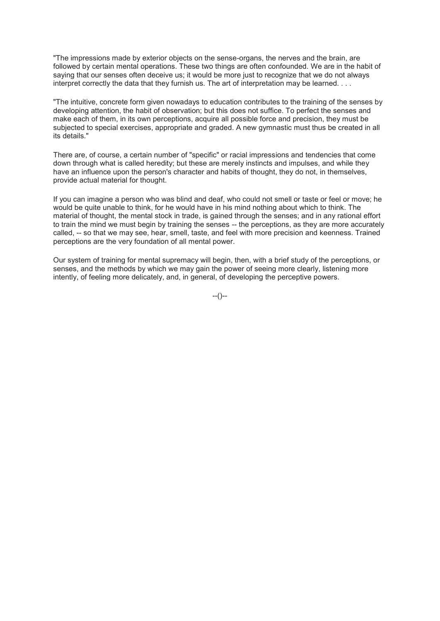"The impressions made by exterior objects on the sense-organs, the nerves and the brain, are followed by certain mental operations. These two things are often confounded. We are in the habit of saying that our senses often deceive us; it would be more just to recognize that we do not always interpret correctly the data that they furnish us. The art of interpretation may be learned. . . .

"The intuitive, concrete form given nowadays to education contributes to the training of the senses by developing attention, the habit of observation; but this does not suffice. To perfect the senses and make each of them, in its own perceptions, acquire all possible force and precision, they must be subjected to special exercises, appropriate and graded. A new gymnastic must thus be created in all its details."

There are, of course, a certain number of "specific" or racial impressions and tendencies that come down through what is called heredity; but these are merely instincts and impulses, and while they have an influence upon the person's character and habits of thought, they do not, in themselves, provide actual material for thought.

If you can imagine a person who was blind and deaf, who could not smell or taste or feel or move; he would be quite unable to think, for he would have in his mind nothing about which to think. The material of thought, the mental stock in trade, is gained through the senses; and in any rational effort to train the mind we must begin by training the senses -- the perceptions, as they are more accurately called, -- so that we may see, hear, smell, taste, and feel with more precision and keenness. Trained perceptions are the very foundation of all mental power.

Our system of training for mental supremacy will begin, then, with a brief study of the perceptions, or senses, and the methods by which we may gain the power of seeing more clearly, listening more intently, of feeling more delicately, and, in general, of developing the perceptive powers.

 $-(-)$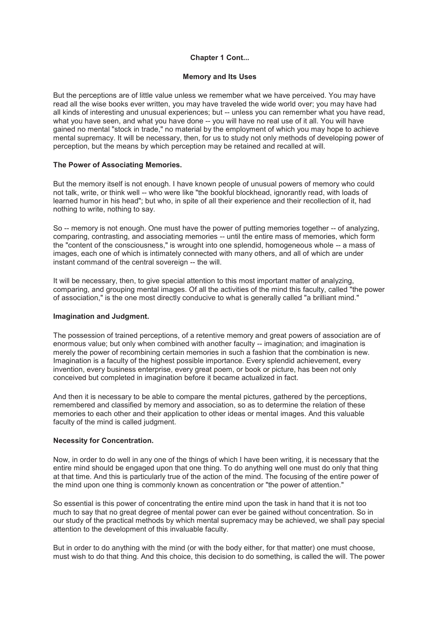# **Chapter 1 Cont...**

# **Memory and Its Uses**

But the perceptions are of little value unless we remember what we have perceived. You may have read all the wise books ever written, you may have traveled the wide world over; you may have had all kinds of interesting and unusual experiences; but -- unless you can remember what you have read, what you have seen, and what you have done -- you will have no real use of it all. You will have gained no mental "stock in trade," no material by the employment of which you may hope to achieve mental supremacy. It will be necessary, then, for us to study not only methods of developing power of perception, but the means by which perception may be retained and recalled at will.

# **The Power of Associating Memories.**

But the memory itself is not enough. I have known people of unusual powers of memory who could not talk, write, or think well -- who were like "the bookful blockhead, ignorantly read, with loads of learned humor in his head"; but who, in spite of all their experience and their recollection of it, had nothing to write, nothing to say.

So -- memory is not enough. One must have the power of putting memories together -- of analyzing, comparing, contrasting, and associating memories -- until the entire mass of memories, which form the "content of the consciousness," is wrought into one splendid, homogeneous whole -- a mass of images, each one of which is intimately connected with many others, and all of which are under instant command of the central sovereign -- the will.

It will be necessary, then, to give special attention to this most important matter of analyzing, comparing, and grouping mental images. Of all the activities of the mind this faculty, called "the power of association," is the one most directly conducive to what is generally called "a brilliant mind."

# **Imagination and Judgment.**

The possession of trained perceptions, of a retentive memory and great powers of association are of enormous value; but only when combined with another faculty -- imagination; and imagination is merely the power of recombining certain memories in such a fashion that the combination is new. Imagination is a faculty of the highest possible importance. Every splendid achievement, every invention, every business enterprise, every great poem, or book or picture, has been not only conceived but completed in imagination before it became actualized in fact.

And then it is necessary to be able to compare the mental pictures, gathered by the perceptions, remembered and classified by memory and association, so as to determine the relation of these memories to each other and their application to other ideas or mental images. And this valuable faculty of the mind is called judgment.

# **Necessity for Concentration.**

Now, in order to do well in any one of the things of which I have been writing, it is necessary that the entire mind should be engaged upon that one thing. To do anything well one must do only that thing at that time. And this is particularly true of the action of the mind. The focusing of the entire power of the mind upon one thing is commonly known as concentration or "the power of attention."

So essential is this power of concentrating the entire mind upon the task in hand that it is not too much to say that no great degree of mental power can ever be gained without concentration. So in our study of the practical methods by which mental supremacy may be achieved, we shall pay special attention to the development of this invaluable faculty.

But in order to do anything with the mind (or with the body either, for that matter) one must choose, must wish to do that thing. And this choice, this decision to do something, is called the will. The power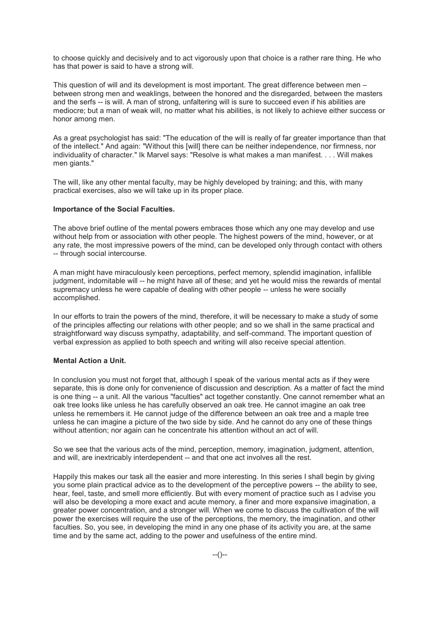to choose quickly and decisively and to act vigorously upon that choice is a rather rare thing. He who has that power is said to have a strong will.

This question of will and its development is most important. The great difference between men – between strong men and weaklings, between the honored and the disregarded, between the masters and the serfs -- is will. A man of strong, unfaltering will is sure to succeed even if his abilities are mediocre; but a man of weak will, no matter what his abilities, is not likely to achieve either success or honor among men.

As a great psychologist has said: "The education of the will is really of far greater importance than that of the intellect." And again: "Without this [will] there can be neither independence, nor firmness, nor individuality of character." Ik Marvel says: "Resolve is what makes a man manifest. . . . Will makes men giants."

The will, like any other mental faculty, may be highly developed by training; and this, with many practical exercises, also we will take up in its proper place.

#### **Importance of the Social Faculties.**

The above brief outline of the mental powers embraces those which any one may develop and use without help from or association with other people. The highest powers of the mind, however, or at any rate, the most impressive powers of the mind, can be developed only through contact with others -- through social intercourse.

A man might have miraculously keen perceptions, perfect memory, splendid imagination, infallible judgment, indomitable will -- he might have all of these; and yet he would miss the rewards of mental supremacy unless he were capable of dealing with other people -- unless he were socially accomplished.

In our efforts to train the powers of the mind, therefore, it will be necessary to make a study of some of the principles affecting our relations with other people; and so we shall in the same practical and straightforward way discuss sympathy, adaptability, and self-command. The important question of verbal expression as applied to both speech and writing will also receive special attention.

# **Mental Action a Unit.**

In conclusion you must not forget that, although I speak of the various mental acts as if they were separate, this is done only for convenience of discussion and description. As a matter of fact the mind is one thing -- a unit. All the various "faculties" act together constantly. One cannot remember what an oak tree looks like unless he has carefully observed an oak tree. He cannot imagine an oak tree unless he remembers it. He cannot judge of the difference between an oak tree and a maple tree unless he can imagine a picture of the two side by side. And he cannot do any one of these things without attention; nor again can he concentrate his attention without an act of will.

So we see that the various acts of the mind, perception, memory, imagination, judgment, attention, and will, are inextricably interdependent -- and that one act involves all the rest.

Happily this makes our task all the easier and more interesting. In this series I shall begin by giving you some plain practical advice as to the development of the perceptive powers -- the ability to see, hear, feel, taste, and smell more efficiently. But with every moment of practice such as I advise you will also be developing a more exact and acute memory, a finer and more expansive imagination, a greater power concentration, and a stronger will. When we come to discuss the cultivation of the will power the exercises will require the use of the perceptions, the memory, the imagination, and other faculties. So, you see, in developing the mind in any one phase of its activity you are, at the same time and by the same act, adding to the power and usefulness of the entire mind.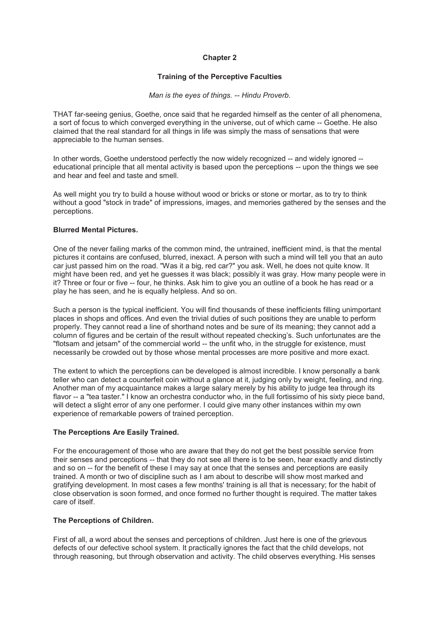# **Training of the Perceptive Faculties**

#### *Man is the eyes of things. -- Hindu Proverb.*

THAT far-seeing genius, Goethe, once said that he regarded himself as the center of all phenomena, a sort of focus to which converged everything in the universe, out of which came -- Goethe. He also claimed that the real standard for all things in life was simply the mass of sensations that were appreciable to the human senses.

In other words, Goethe understood perfectly the now widely recognized -- and widely ignored - educational principle that all mental activity is based upon the perceptions -- upon the things we see and hear and feel and taste and smell.

As well might you try to build a house without wood or bricks or stone or mortar, as to try to think without a good "stock in trade" of impressions, images, and memories gathered by the senses and the perceptions.

# **Blurred Mental Pictures.**

One of the never failing marks of the common mind, the untrained, inefficient mind, is that the mental pictures it contains are confused, blurred, inexact. A person with such a mind will tell you that an auto car just passed him on the road. "Was it a big, red car?" you ask. Well, he does not quite know. It might have been red, and yet he guesses it was black; possibly it was gray. How many people were in it? Three or four or five -- four, he thinks. Ask him to give you an outline of a book he has read or a play he has seen, and he is equally helpless. And so on.

Such a person is the typical inefficient. You will find thousands of these inefficients filling unimportant places in shops and offices. And even the trivial duties of such positions they are unable to perform properly. They cannot read a line of shorthand notes and be sure of its meaning; they cannot add a column of figures and be certain of the result without repeated checking's. Such unfortunates are the "flotsam and jetsam" of the commercial world -- the unfit who, in the struggle for existence, must necessarily be crowded out by those whose mental processes are more positive and more exact.

The extent to which the perceptions can be developed is almost incredible. I know personally a bank teller who can detect a counterfeit coin without a glance at it, judging only by weight, feeling, and ring. Another man of my acquaintance makes a large salary merely by his ability to judge tea through its flavor -- a "tea taster." I know an orchestra conductor who, in the full fortissimo of his sixty piece band, will detect a slight error of any one performer. I could give many other instances within my own experience of remarkable powers of trained perception.

# **The Perceptions Are Easily Trained.**

For the encouragement of those who are aware that they do not get the best possible service from their senses and perceptions -- that they do not see all there is to be seen, hear exactly and distinctly and so on -- for the benefit of these I may say at once that the senses and perceptions are easily trained. A month or two of discipline such as I am about to describe will show most marked and gratifying development. In most cases a few months' training is all that is necessary; for the habit of close observation is soon formed, and once formed no further thought is required. The matter takes care of itself.

# **The Perceptions of Children.**

First of all, a word about the senses and perceptions of children. Just here is one of the grievous defects of our defective school system. It practically ignores the fact that the child develops, not through reasoning, but through observation and activity. The child observes everything. His senses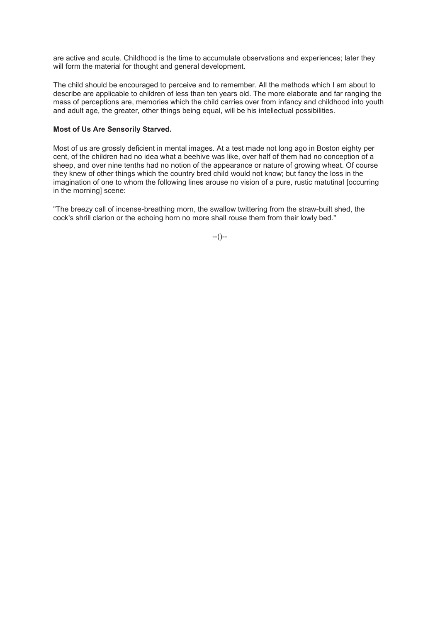are active and acute. Childhood is the time to accumulate observations and experiences; later they will form the material for thought and general development.

The child should be encouraged to perceive and to remember. All the methods which I am about to describe are applicable to children of less than ten years old. The more elaborate and far ranging the mass of perceptions are, memories which the child carries over from infancy and childhood into youth and adult age, the greater, other things being equal, will be his intellectual possibilities.

# **Most of Us Are Sensorily Starved.**

Most of us are grossly deficient in mental images. At a test made not long ago in Boston eighty per cent, of the children had no idea what a beehive was like, over half of them had no conception of a sheep, and over nine tenths had no notion of the appearance or nature of growing wheat. Of course they knew of other things which the country bred child would not know; but fancy the loss in the imagination of one to whom the following lines arouse no vision of a pure, rustic matutinal [occurring in the morning] scene:

"The breezy call of incense-breathing morn, the swallow twittering from the straw-built shed, the cock's shrill clarion or the echoing horn no more shall rouse them from their lowly bed."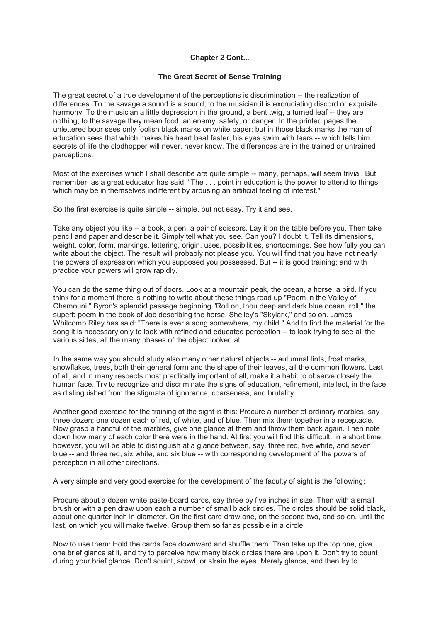# **Chapter 2 Cont...**

# **The Great Secret of Sense Training**

The great secret of a true development of the perceptions is discrimination -- the realization of differences. To the savage a sound is a sound; to the musician it is excruciating discord or exquisite harmony. To the musician a little depression in the ground, a bent twig, a turned leaf -- they are nothing; to the savage they mean food, an enemy, safety, or danger. In the printed pages the unlettered boor sees only foolish black marks on white paper; but in those black marks the man of education sees that which makes his heart beat faster, his eyes swim with tears -- which tells him secrets of life the clodhopper will never, never know. The differences are in the trained or untrained perceptions.

Most of the exercises which I shall describe are quite simple -- many, perhaps, will seem trivial. But remember, as a great educator has said: "The . . . point in education is the power to attend to things which may be in themselves indifferent by arousing an artificial feeling of interest."

So the first exercise is quite simple -- simple, but not easy. Try it and see.

Take any object you like -- a book, a pen, a pair of scissors. Lay it on the table before you. Then take pencil and paper and describe it. Simply tell what you see. Can you? I doubt it. Tell its dimensions, weight, color, form, markings, lettering, origin, uses, possibilities, shortcomings. See how fully you can write about the object. The result will probably not please you. You will find that you have not nearly the powers of expression which you supposed you possessed. But -- it is good training; and with practice your powers will grow rapidly.

You can do the same thing out of doors. Look at a mountain peak, the ocean, a horse, a bird. If you think for a moment there is nothing to write about these things read up "Poem in the Valley of Chamouni," Byron's splendid passage beginning "Roll on, thou deep and dark blue ocean, roll," the superb poem in the book of Job describing the horse, Shelley's "Skylark," and so on. James Whitcomb Riley has said: "There is ever a song somewhere, my child." And to find the material for the song it is necessary only to look with refined and educated perception -- to look trying to see all the various sides, all the many phases of the object looked at.

In the same way you should study also many other natural objects -- autumnal tints, frost marks, snowflakes, trees, both their general form and the shape of their leaves, all the common flowers. Last of all, and in many respects most practically important of all, make it a habit to observe closely the human face. Try to recognize and discriminate the signs of education, refinement, intellect, in the face, as distinguished from the stigmata of ignorance, coarseness, and brutality.

Another good exercise for the training of the sight is this: Procure a number of ordinary marbles, say three dozen; one dozen each of red, of white, and of blue. Then mix them together in a receptacle. Now grasp a handful of the marbles, give one glance at them and throw them back again. Then note down how many of each color there were in the hand. At first you will find this difficult. In a short time, however, you will be able to distinguish at a glance between, say, three red, five white, and seven blue -- and three red, six white, and six blue -- with corresponding development of the powers of perception in all other directions.

A very simple and very good exercise for the development of the faculty of sight is the following:

Procure about a dozen white paste-board cards, say three by five inches in size. Then with a small brush or with a pen draw upon each a number of small black circles. The circles should be solid black, about one quarter inch in diameter. On the first card draw one, on the second two, and so on, until the last, on which you will make twelve. Group them so far as possible in a circle.

Now to use them: Hold the cards face downward and shuffle them. Then take up the top one, give one brief glance at it, and try to perceive how many black circles there are upon it. Don't try to count during your brief glance. Don't squint, scowl, or strain the eyes. Merely glance, and then try to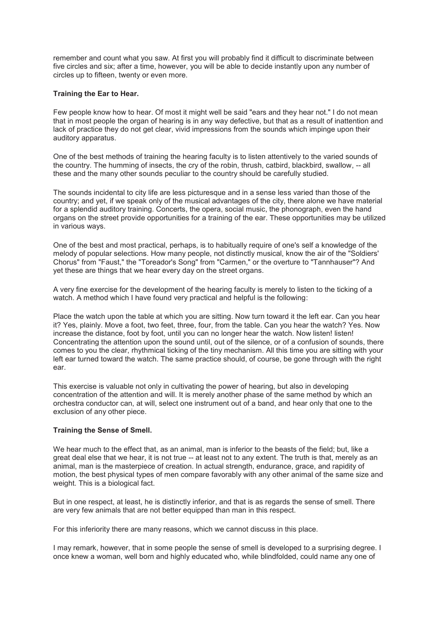remember and count what you saw. At first you will probably find it difficult to discriminate between five circles and six; after a time, however, you will be able to decide instantly upon any number of circles up to fifteen, twenty or even more.

# **Training the Ear to Hear.**

Few people know how to hear. Of most it might well be said "ears and they hear not." I do not mean that in most people the organ of hearing is in any way defective, but that as a result of inattention and lack of practice they do not get clear, vivid impressions from the sounds which impinge upon their auditory apparatus.

One of the best methods of training the hearing faculty is to listen attentively to the varied sounds of the country. The humming of insects, the cry of the robin, thrush, catbird, blackbird, swallow, -- all these and the many other sounds peculiar to the country should be carefully studied.

The sounds incidental to city life are less picturesque and in a sense less varied than those of the country; and yet, if we speak only of the musical advantages of the city, there alone we have material for a splendid auditory training. Concerts, the opera, social music, the phonograph, even the hand organs on the street provide opportunities for a training of the ear. These opportunities may be utilized in various ways.

One of the best and most practical, perhaps, is to habitually require of one's self a knowledge of the melody of popular selections. How many people, not distinctly musical, know the air of the "Soldiers' Chorus" from "Faust," the "Toreador's Song" from "Carmen," or the overture to "Tannhauser"? And yet these are things that we hear every day on the street organs.

A very fine exercise for the development of the hearing faculty is merely to listen to the ticking of a watch. A method which I have found very practical and helpful is the following:

Place the watch upon the table at which you are sitting. Now turn toward it the left ear. Can you hear it? Yes, plainly. Move a foot, two feet, three, four, from the table. Can you hear the watch? Yes. Now increase the distance, foot by foot, until you can no longer hear the watch. Now listen! listen! Concentrating the attention upon the sound until, out of the silence, or of a confusion of sounds, there comes to you the clear, rhythmical ticking of the tiny mechanism. All this time you are sitting with your left ear turned toward the watch. The same practice should, of course, be gone through with the right ear.

This exercise is valuable not only in cultivating the power of hearing, but also in developing concentration of the attention and will. It is merely another phase of the same method by which an orchestra conductor can, at will, select one instrument out of a band, and hear only that one to the exclusion of any other piece.

# **Training the Sense of Smell.**

We hear much to the effect that, as an animal, man is inferior to the beasts of the field; but, like a great deal else that we hear, it is not true -- at least not to any extent. The truth is that, merely as an animal, man is the masterpiece of creation. In actual strength, endurance, grace, and rapidity of motion, the best physical types of men compare favorably with any other animal of the same size and weight. This is a biological fact.

But in one respect, at least, he is distinctly inferior, and that is as regards the sense of smell. There are very few animals that are not better equipped than man in this respect.

For this inferiority there are many reasons, which we cannot discuss in this place.

I may remark, however, that in some people the sense of smell is developed to a surprising degree. I once knew a woman, well born and highly educated who, while blindfolded, could name any one of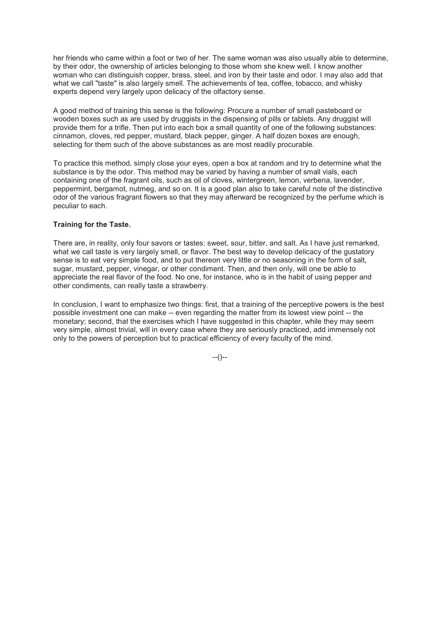her friends who came within a foot or two of her. The same woman was also usually able to determine, by their odor, the ownership of articles belonging to those whom she knew well. I know another woman who can distinguish copper, brass, steel, and iron by their taste and odor. I may also add that what we call "taste" is also largely smell. The achievements of tea, coffee, tobacco, and whisky experts depend very largely upon delicacy of the olfactory sense.

A good method of training this sense is the following: Procure a number of small pasteboard or wooden boxes such as are used by druggists in the dispensing of pills or tablets. Any druggist will provide them for a trifle. Then put into each box a small quantity of one of the following substances: cinnamon, cloves, red pepper, mustard, black pepper, ginger. A half dozen boxes are enough, selecting for them such of the above substances as are most readily procurable.

To practice this method, simply close your eyes, open a box at random and try to determine what the substance is by the odor. This method may be varied by having a number of small vials, each containing one of the fragrant oils, such as oil of cloves, wintergreen, lemon, verbena, lavender, peppermint, bergamot, nutmeg, and so on. It is a good plan also to take careful note of the distinctive odor of the various fragrant flowers so that they may afterward be recognized by the perfume which is peculiar to each.

# **Training for the Taste.**

There are, in reality, only four savors or tastes: sweet, sour, bitter, and salt. As I have just remarked, what we call taste is very largely smell, or flavor. The best way to develop delicacy of the gustatory sense is to eat very simple food, and to put thereon very little or no seasoning in the form of salt, sugar, mustard, pepper, vinegar, or other condiment. Then, and then only, will one be able to appreciate the real flavor of the food. No one, for instance, who is in the habit of using pepper and other condiments, can really taste a strawberry.

In conclusion, I want to emphasize two things: first, that a training of the perceptive powers is the best possible investment one can make -- even regarding the matter from its lowest view point -- the monetary; second, that the exercises which I have suggested in this chapter, while they may seem very simple, almost trivial, will in every case where they are seriously practiced, add immensely not only to the powers of perception but to practical efficiency of every faculty of the mind.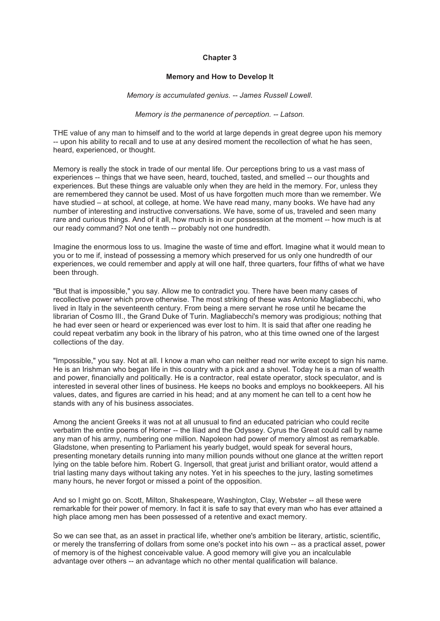# **Memory and How to Develop It**

#### *Memory is accumulated genius. -- James Russell Lowell.*

#### *Memory is the permanence of perception. -- Latson.*

THE value of any man to himself and to the world at large depends in great degree upon his memory -- upon his ability to recall and to use at any desired moment the recollection of what he has seen, heard, experienced, or thought.

Memory is really the stock in trade of our mental life. Our perceptions bring to us a vast mass of experiences -- things that we have seen, heard, touched, tasted, and smelled -- our thoughts and experiences. But these things are valuable only when they are held in the memory. For, unless they are remembered they cannot be used. Most of us have forgotten much more than we remember. We have studied – at school, at college, at home. We have read many, many books. We have had any number of interesting and instructive conversations. We have, some of us, traveled and seen many rare and curious things. And of it all, how much is in our possession at the moment -- how much is at our ready command? Not one tenth -- probably not one hundredth.

Imagine the enormous loss to us. Imagine the waste of time and effort. Imagine what it would mean to you or to me if, instead of possessing a memory which preserved for us only one hundredth of our experiences, we could remember and apply at will one half, three quarters, four fifths of what we have been through.

"But that is impossible," you say. Allow me to contradict you. There have been many cases of recollective power which prove otherwise. The most striking of these was Antonio Magliabecchi, who lived in Italy in the seventeenth century. From being a mere servant he rose until he became the librarian of Cosmo III., the Grand Duke of Turin. Magliabecchi's memory was prodigious; nothing that he had ever seen or heard or experienced was ever lost to him. It is said that after one reading he could repeat verbatim any book in the library of his patron, who at this time owned one of the largest collections of the day.

"Impossible," you say. Not at all. I know a man who can neither read nor write except to sign his name. He is an Irishman who began life in this country with a pick and a shovel. Today he is a man of wealth and power, financially and politically. He is a contractor, real estate operator, stock speculator, and is interested in several other lines of business. He keeps no books and employs no bookkeepers. All his values, dates, and figures are carried in his head; and at any moment he can tell to a cent how he stands with any of his business associates.

Among the ancient Greeks it was not at all unusual to find an educated patrician who could recite verbatim the entire poems of Homer -- the Iliad and the Odyssey. Cyrus the Great could call by name any man of his army, numbering one million. Napoleon had power of memory almost as remarkable. Gladstone, when presenting to Parliament his yearly budget, would speak for several hours, presenting monetary details running into many million pounds without one glance at the written report lying on the table before him. Robert G. Ingersoll, that great jurist and brilliant orator, would attend a trial lasting many days without taking any notes. Yet in his speeches to the jury, lasting sometimes many hours, he never forgot or missed a point of the opposition.

And so I might go on. Scott, Milton, Shakespeare, Washington, Clay, Webster -- all these were remarkable for their power of memory. In fact it is safe to say that every man who has ever attained a high place among men has been possessed of a retentive and exact memory.

So we can see that, as an asset in practical life, whether one's ambition be literary, artistic, scientific, or merely the transferring of dollars from some one's pocket into his own -- as a practical asset, power of memory is of the highest conceivable value. A good memory will give you an incalculable advantage over others -- an advantage which no other mental qualification will balance.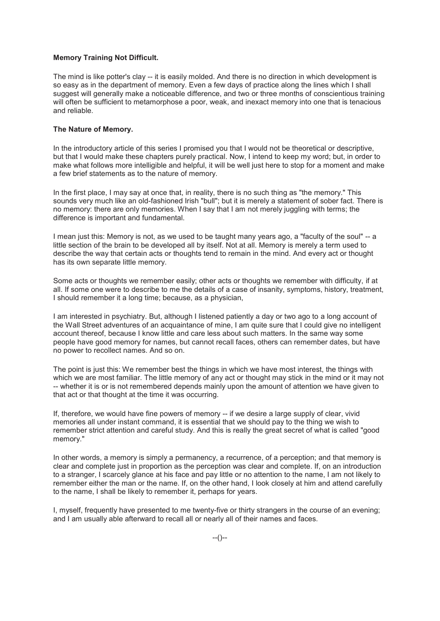## **Memory Training Not Difficult.**

The mind is like potter's clay -- it is easily molded. And there is no direction in which development is so easy as in the department of memory. Even a few days of practice along the lines which I shall suggest will generally make a noticeable difference, and two or three months of conscientious training will often be sufficient to metamorphose a poor, weak, and inexact memory into one that is tenacious and reliable.

#### **The Nature of Memory.**

In the introductory article of this series I promised you that I would not be theoretical or descriptive, but that I would make these chapters purely practical. Now, I intend to keep my word; but, in order to make what follows more intelligible and helpful, it will be well just here to stop for a moment and make a few brief statements as to the nature of memory.

In the first place, I may say at once that, in reality, there is no such thing as "the memory." This sounds very much like an old-fashioned Irish "bull"; but it is merely a statement of sober fact. There is no memory: there are only memories. When I say that I am not merely juggling with terms; the difference is important and fundamental.

I mean just this: Memory is not, as we used to be taught many years ago, a "faculty of the soul" -- a little section of the brain to be developed all by itself. Not at all. Memory is merely a term used to describe the way that certain acts or thoughts tend to remain in the mind. And every act or thought has its own separate little memory.

Some acts or thoughts we remember easily; other acts or thoughts we remember with difficulty, if at all. If some one were to describe to me the details of a case of insanity, symptoms, history, treatment, I should remember it a long time; because, as a physician,

I am interested in psychiatry. But, although I listened patiently a day or two ago to a long account of the Wall Street adventures of an acquaintance of mine, I am quite sure that I could give no intelligent account thereof, because I know little and care less about such matters. In the same way some people have good memory for names, but cannot recall faces, others can remember dates, but have no power to recollect names. And so on.

The point is just this: We remember best the things in which we have most interest, the things with which we are most familiar. The little memory of any act or thought may stick in the mind or it may not -- whether it is or is not remembered depends mainly upon the amount of attention we have given to that act or that thought at the time it was occurring.

If, therefore, we would have fine powers of memory -- if we desire a large supply of clear, vivid memories all under instant command, it is essential that we should pay to the thing we wish to remember strict attention and careful study. And this is really the great secret of what is called "good memory."

In other words, a memory is simply a permanency, a recurrence, of a perception; and that memory is clear and complete just in proportion as the perception was clear and complete. If, on an introduction to a stranger, I scarcely glance at his face and pay little or no attention to the name, I am not likely to remember either the man or the name. If, on the other hand, I look closely at him and attend carefully to the name, I shall be likely to remember it, perhaps for years.

I, myself, frequently have presented to me twenty-five or thirty strangers in the course of an evening; and I am usually able afterward to recall all or nearly all of their names and faces.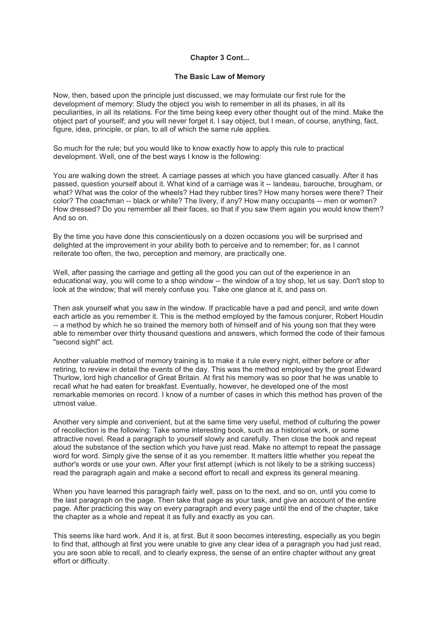# **Chapter 3 Cont...**

#### **The Basic Law of Memory**

Now, then, based upon the principle just discussed, we may formulate our first rule for the development of memory: Study the object you wish to remember in all its phases, in all its peculiarities, in all its relations. For the time being keep every other thought out of the mind. Make the object part of yourself; and you will never forget it. I say object, but I mean, of course, anything, fact, figure, idea, principle, or plan, to all of which the same rule applies.

So much for the rule; but you would like to know exactly how to apply this rule to practical development. Well, one of the best ways I know is the following:

You are walking down the street. A carriage passes at which you have glanced casually. After it has passed, question yourself about it. What kind of a carriage was it -- landeau, barouche, brougham, or what? What was the color of the wheels? Had they rubber tires? How many horses were there? Their color? The coachman -- black or white? The livery, if any? How many occupants -- men or women? How dressed? Do you remember all their faces, so that if you saw them again you would know them? And so on.

By the time you have done this conscientiously on a dozen occasions you will be surprised and delighted at the improvement in your ability both to perceive and to remember; for, as I cannot reiterate too often, the two, perception and memory, are practically one.

Well, after passing the carriage and getting all the good you can out of the experience in an educational way, you will come to a shop window -- the window of a toy shop, let us say. Don't stop to look at the window; that will merely confuse you. Take one glance at it, and pass on.

Then ask yourself what you saw in the window. If practicable have a pad and pencil, and write down each article as you remember it. This is the method employed by the famous conjurer, Robert Houdin -- a method by which he so trained the memory both of himself and of his young son that they were able to remember over thirty thousand questions and answers, which formed the code of their famous "second sight" act.

Another valuable method of memory training is to make it a rule every night, either before or after retiring, to review in detail the events of the day. This was the method employed by the great Edward Thurlow, lord high chancellor of Great Britain. At first his memory was so poor that he was unable to recall what he had eaten for breakfast. Eventually, however, he developed one of the most remarkable memories on record. I know of a number of cases in which this method has proven of the utmost value.

Another very simple and convenient, but at the same time very useful, method of culturing the power of recollection is the following: Take some interesting book, such as a historical work, or some attractive novel. Read a paragraph to yourself slowly and carefully. Then close the book and repeat aloud the substance of the section which you have just read. Make no attempt to repeat the passage word for word. Simply give the sense of it as you remember. It matters little whether you repeat the author's words or use your own. After your first attempt (which is not likely to be a striking success) read the paragraph again and make a second effort to recall and express its general meaning.

When you have learned this paragraph fairly well, pass on to the next, and so on, until you come to the last paragraph on the page. Then take that page as your task, and give an account of the entire page. After practicing this way on every paragraph and every page until the end of the chapter, take the chapter as a whole and repeat it as fully and exactly as you can.

This seems like hard work. And it is, at first. But it soon becomes interesting, especially as you begin to find that, although at first you were unable to give any clear idea of a paragraph you had just read, you are soon able to recall, and to clearly express, the sense of an entire chapter without any great effort or difficulty.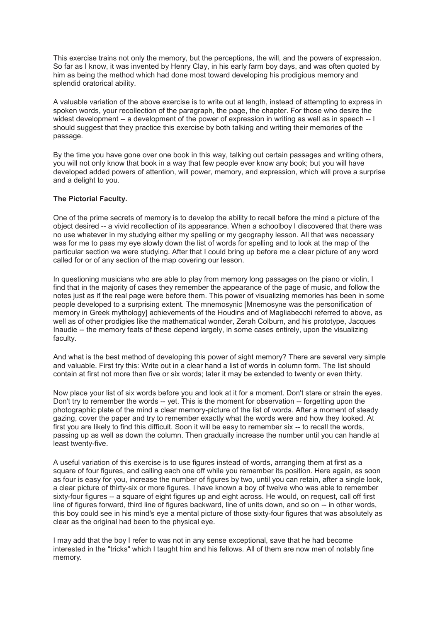This exercise trains not only the memory, but the perceptions, the will, and the powers of expression. So far as I know, it was invented by Henry Clay, in his early farm boy days, and was often quoted by him as being the method which had done most toward developing his prodigious memory and splendid oratorical ability.

A valuable variation of the above exercise is to write out at length, instead of attempting to express in spoken words, your recollection of the paragraph, the page, the chapter. For those who desire the widest development -- a development of the power of expression in writing as well as in speech -- I should suggest that they practice this exercise by both talking and writing their memories of the passage.

By the time you have gone over one book in this way, talking out certain passages and writing others, you will not only know that book in a way that few people ever know any book; but you will have developed added powers of attention, will power, memory, and expression, which will prove a surprise and a delight to you.

# **The Pictorial Faculty.**

One of the prime secrets of memory is to develop the ability to recall before the mind a picture of the object desired -- a vivid recollection of its appearance. When a schoolboy I discovered that there was no use whatever in my studying either my spelling or my geography lesson. All that was necessary was for me to pass my eye slowly down the list of words for spelling and to look at the map of the particular section we were studying. After that I could bring up before me a clear picture of any word called for or of any section of the map covering our lesson.

In questioning musicians who are able to play from memory long passages on the piano or violin, I find that in the majority of cases they remember the appearance of the page of music, and follow the notes just as if the real page were before them. This power of visualizing memories has been in some people developed to a surprising extent. The mnemosynic [Mnemosyne was the personification of memory in Greek mythology] achievements of the Houdins and of Magliabecchi referred to above, as well as of other prodigies like the mathematical wonder, Zerah Colburn, and his prototype, Jacques Inaudie -- the memory feats of these depend largely, in some cases entirely, upon the visualizing faculty.

And what is the best method of developing this power of sight memory? There are several very simple and valuable. First try this: Write out in a clear hand a list of words in column form. The list should contain at first not more than five or six words; later it may be extended to twenty or even thirty.

Now place your list of six words before you and look at it for a moment. Don't stare or strain the eyes. Don't try to remember the words -- yet. This is the moment for observation -- forgetting upon the photographic plate of the mind a clear memory-picture of the list of words. After a moment of steady gazing, cover the paper and try to remember exactly what the words were and how they looked. At first you are likely to find this difficult. Soon it will be easy to remember six -- to recall the words, passing up as well as down the column. Then gradually increase the number until you can handle at least twenty-five.

A useful variation of this exercise is to use figures instead of words, arranging them at first as a square of four figures, and calling each one off while you remember its position. Here again, as soon as four is easy for you, increase the number of figures by two, until you can retain, after a single look, a clear picture of thirty-six or more figures. I have known a boy of twelve who was able to remember sixty-four figures -- a square of eight figures up and eight across. He would, on request, call off first line of figures forward, third line of figures backward, line of units down, and so on -- in other words, this boy could see in his mind's eye a mental picture of those sixty-four figures that was absolutely as clear as the original had been to the physical eye.

I may add that the boy I refer to was not in any sense exceptional, save that he had become interested in the "tricks" which I taught him and his fellows. All of them are now men of notably fine memory.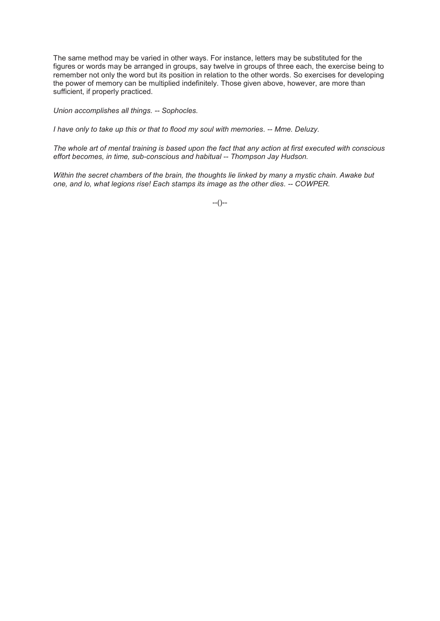The same method may be varied in other ways. For instance, letters may be substituted for the figures or words may be arranged in groups, say twelve in groups of three each, the exercise being to remember not only the word but its position in relation to the other words. So exercises for developing the power of memory can be multiplied indefinitely. Those given above, however, are more than sufficient, if properly practiced.

*Union accomplishes all things. -- Sophocles.*

*I have only to take up this or that to flood my soul with memories. -- Mme. Deluzy.*

*The whole art of mental training is based upon the fact that any action at first executed with conscious effort becomes, in time, sub-conscious and habitual -- Thompson Jay Hudson.*

*Within the secret chambers of the brain, the thoughts lie linked by many a mystic chain. Awake but one, and lo, what legions rise! Each stamps its image as the other dies. -- COWPER.*

 $-(-)$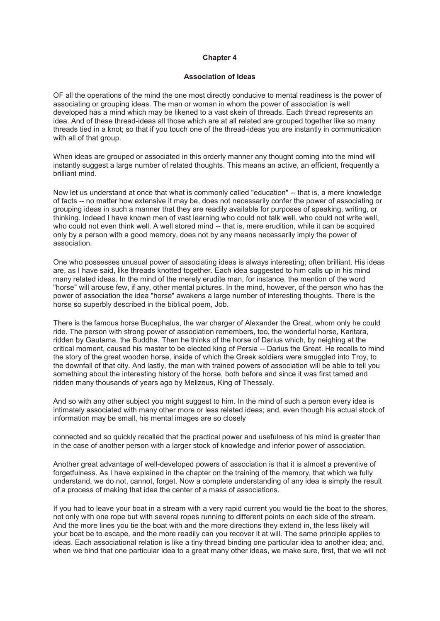# **Association of Ideas**

OF all the operations of the mind the one most directly conducive to mental readiness is the power of associating or grouping ideas. The man or woman in whom the power of association is well developed has a mind which may be likened to a vast skein of threads. Each thread represents an idea. And of these thread-ideas all those which are at all related are grouped together like so many threads tied in a knot; so that if you touch one of the thread-ideas you are instantly in communication with all of that group.

When ideas are grouped or associated in this orderly manner any thought coming into the mind will instantly suggest a large number of related thoughts. This means an active, an efficient, frequently a brilliant mind.

Now let us understand at once that what is commonly called "education" -- that is, a mere knowledge of facts -- no matter how extensive it may be, does not necessarily confer the power of associating or grouping ideas in such a manner that they are readily available for purposes of speaking, writing, or thinking. Indeed I have known men of vast learning who could not talk well, who could not write well, who could not even think well. A well stored mind -- that is, mere erudition, while it can be acquired only by a person with a good memory, does not by any means necessarily imply the power of association.

One who possesses unusual power of associating ideas is always interesting; often brilliant. His ideas are, as I have said, like threads knotted together. Each idea suggested to him calls up in his mind many related ideas. In the mind of the merely erudite man, for instance, the mention of the word "horse" will arouse few, if any, other mental pictures. In the mind, however, of the person who has the power of association the idea "horse" awakens a large number of interesting thoughts. There is the horse so superbly described in the biblical poem, Job.

There is the famous horse Bucephalus, the war charger of Alexander the Great, whom only he could ride. The person with strong power of association remembers, too, the wonderful horse, Kantara, ridden by Gautama, the Buddha. Then he thinks of the horse of Darius which, by neighing at the critical moment, caused his master to be elected king of Persia -- Darius the Great. He recalls to mind the story of the great wooden horse, inside of which the Greek soldiers were smuggled into Troy, to the downfall of that city. And lastly, the man with trained powers of association will be able to tell you something about the interesting history of the horse, both before and since it was first tamed and ridden many thousands of years ago by Melizeus, King of Thessaly.

And so with any other subject you might suggest to him. In the mind of such a person every idea is intimately associated with many other more or less related ideas; and, even though his actual stock of information may be small, his mental images are so closely

connected and so quickly recalled that the practical power and usefulness of his mind is greater than in the case of another person with a larger stock of knowledge and inferior power of association.

Another great advantage of well-developed powers of association is that it is almost a preventive of forgetfulness. As I have explained in the chapter on the training of the memory, that which we fully understand, we do not, cannot, forget. Now a complete understanding of any idea is simply the result of a process of making that idea the center of a mass of associations.

If you had to leave your boat in a stream with a very rapid current you would tie the boat to the shores, not only with one rope but with several ropes running to different points on each side of the stream. And the more lines you tie the boat with and the more directions they extend in, the less likely will your boat be to escape, and the more readily can you recover it at will. The same principle applies to ideas. Each associational relation is like a tiny thread binding one particular idea to another idea; and, when we bind that one particular idea to a great many other ideas, we make sure, first, that we will not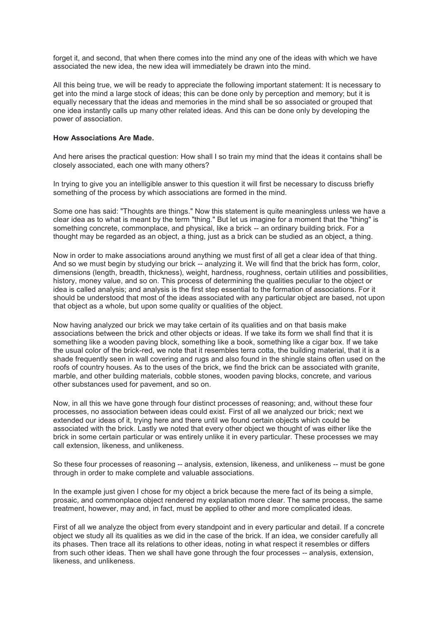forget it, and second, that when there comes into the mind any one of the ideas with which we have associated the new idea, the new idea will immediately be drawn into the mind.

All this being true, we will be ready to appreciate the following important statement: It is necessary to get into the mind a large stock of ideas; this can be done only by perception and memory; but it is equally necessary that the ideas and memories in the mind shall be so associated or grouped that one idea instantly calls up many other related ideas. And this can be done only by developing the power of association.

#### **How Associations Are Made.**

And here arises the practical question: How shall I so train my mind that the ideas it contains shall be closely associated, each one with many others?

In trying to give you an intelligible answer to this question it will first be necessary to discuss briefly something of the process by which associations are formed in the mind.

Some one has said: "Thoughts are things." Now this statement is quite meaningless unless we have a clear idea as to what is meant by the term "thing." But let us imagine for a moment that the "thing" is something concrete, commonplace, and physical, like a brick -- an ordinary building brick. For a thought may be regarded as an object, a thing, just as a brick can be studied as an object, a thing.

Now in order to make associations around anything we must first of all get a clear idea of that thing. And so we must begin by studying our brick -- analyzing it. We will find that the brick has form, color, dimensions (length, breadth, thickness), weight, hardness, roughness, certain utilities and possibilities, history, money value, and so on. This process of determining the qualities peculiar to the object or idea is called analysis; and analysis is the first step essential to the formation of associations. For it should be understood that most of the ideas associated with any particular object are based, not upon that object as a whole, but upon some quality or qualities of the object.

Now having analyzed our brick we may take certain of its qualities and on that basis make associations between the brick and other objects or ideas. If we take its form we shall find that it is something like a wooden paving block, something like a book, something like a cigar box. If we take the usual color of the brick-red, we note that it resembles terra cotta, the building material, that it is a shade frequently seen in wall covering and rugs and also found in the shingle stains often used on the roofs of country houses. As to the uses of the brick, we find the brick can be associated with granite, marble, and other building materials, cobble stones, wooden paving blocks, concrete, and various other substances used for pavement, and so on.

Now, in all this we have gone through four distinct processes of reasoning; and, without these four processes, no association between ideas could exist. First of all we analyzed our brick; next we extended our ideas of it, trying here and there until we found certain objects which could be associated with the brick. Lastly we noted that every other object we thought of was either like the brick in some certain particular or was entirely unlike it in every particular. These processes we may call extension, likeness, and unlikeness.

So these four processes of reasoning -- analysis, extension, likeness, and unlikeness -- must be gone through in order to make complete and valuable associations.

In the example just given I chose for my object a brick because the mere fact of its being a simple, prosaic, and commonplace object rendered my explanation more clear. The same process, the same treatment, however, may and, in fact, must be applied to other and more complicated ideas.

First of all we analyze the object from every standpoint and in every particular and detail. If a concrete object we study all its qualities as we did in the case of the brick. If an idea, we consider carefully all its phases. Then trace all its relations to other ideas, noting in what respect it resembles or differs from such other ideas. Then we shall have gone through the four processes -- analysis, extension, likeness, and unlikeness.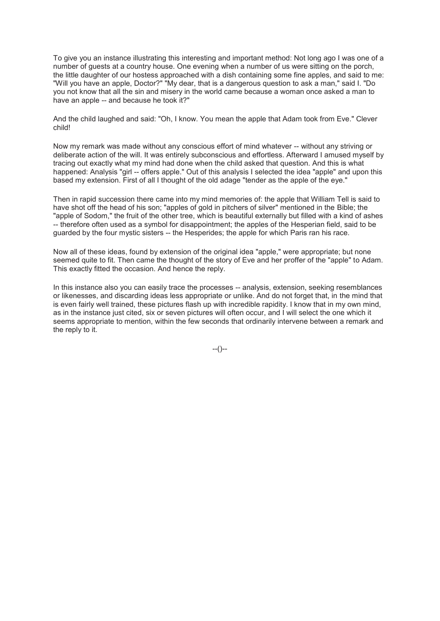To give you an instance illustrating this interesting and important method: Not long ago I was one of a number of guests at a country house. One evening when a number of us were sitting on the porch, the little daughter of our hostess approached with a dish containing some fine apples, and said to me: "Will you have an apple, Doctor?" "My dear, that is a dangerous question to ask a man," said I. "Do you not know that all the sin and misery in the world came because a woman once asked a man to have an apple -- and because he took it?"

And the child laughed and said: "Oh, I know. You mean the apple that Adam took from Eve." Clever child!

Now my remark was made without any conscious effort of mind whatever -- without any striving or deliberate action of the will. It was entirely subconscious and effortless. Afterward I amused myself by tracing out exactly what my mind had done when the child asked that question. And this is what happened: Analysis "girl -- offers apple." Out of this analysis I selected the idea "apple" and upon this based my extension. First of all I thought of the old adage "tender as the apple of the eye."

Then in rapid succession there came into my mind memories of: the apple that William Tell is said to have shot off the head of his son; "apples of gold in pitchers of silver" mentioned in the Bible; the "apple of Sodom," the fruit of the other tree, which is beautiful externally but filled with a kind of ashes -- therefore often used as a symbol for disappointment; the apples of the Hesperian field, said to be guarded by the four mystic sisters -- the Hesperides; the apple for which Paris ran his race.

Now all of these ideas, found by extension of the original idea "apple," were appropriate; but none seemed quite to fit. Then came the thought of the story of Eve and her proffer of the "apple" to Adam. This exactly fitted the occasion. And hence the reply.

In this instance also you can easily trace the processes -- analysis, extension, seeking resemblances or likenesses, and discarding ideas less appropriate or unlike. And do not forget that, in the mind that is even fairly well trained, these pictures flash up with incredible rapidity. I know that in my own mind, as in the instance just cited, six or seven pictures will often occur, and I will select the one which it seems appropriate to mention, within the few seconds that ordinarily intervene between a remark and the reply to it.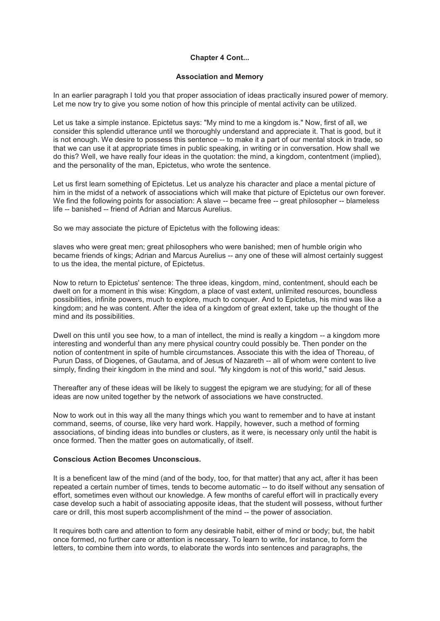# **Chapter 4 Cont...**

# **Association and Memory**

In an earlier paragraph I told you that proper association of ideas practically insured power of memory. Let me now try to give you some notion of how this principle of mental activity can be utilized.

Let us take a simple instance. Epictetus says: "My mind to me a kingdom is." Now, first of all, we consider this splendid utterance until we thoroughly understand and appreciate it. That is good, but it is not enough. We desire to possess this sentence -- to make it a part of our mental stock in trade, so that we can use it at appropriate times in public speaking, in writing or in conversation. How shall we do this? Well, we have really four ideas in the quotation: the mind, a kingdom, contentment (implied), and the personality of the man, Epictetus, who wrote the sentence.

Let us first learn something of Epictetus. Let us analyze his character and place a mental picture of him in the midst of a network of associations which will make that picture of Epictetus our own forever. We find the following points for association: A slave -- became free -- great philosopher -- blameless life -- banished -- friend of Adrian and Marcus Aurelius.

So we may associate the picture of Epictetus with the following ideas:

slaves who were great men; great philosophers who were banished; men of humble origin who became friends of kings; Adrian and Marcus Aurelius -- any one of these will almost certainly suggest to us the idea, the mental picture, of Epictetus.

Now to return to Epictetus' sentence: The three ideas, kingdom, mind, contentment, should each be dwelt on for a moment in this wise: Kingdom, a place of vast extent, unlimited resources, boundless possibilities, infinite powers, much to explore, much to conquer. And to Epictetus, his mind was like a kingdom; and he was content. After the idea of a kingdom of great extent, take up the thought of the mind and its possibilities.

Dwell on this until you see how, to a man of intellect, the mind is really a kingdom -- a kingdom more interesting and wonderful than any mere physical country could possibly be. Then ponder on the notion of contentment in spite of humble circumstances. Associate this with the idea of Thoreau, of Purun Dass, of Diogenes, of Gautama, and of Jesus of Nazareth -- all of whom were content to live simply, finding their kingdom in the mind and soul. "My kingdom is not of this world," said Jesus.

Thereafter any of these ideas will be likely to suggest the epigram we are studying; for all of these ideas are now united together by the network of associations we have constructed.

Now to work out in this way all the many things which you want to remember and to have at instant command, seems, of course, like very hard work. Happily, however, such a method of forming associations, of binding ideas into bundles or clusters, as it were, is necessary only until the habit is once formed. Then the matter goes on automatically, of itself.

# **Conscious Action Becomes Unconscious.**

It is a beneficent law of the mind (and of the body, too, for that matter) that any act, after it has been repeated a certain number of times, tends to become automatic -- to do itself without any sensation of effort, sometimes even without our knowledge. A few months of careful effort will in practically every case develop such a habit of associating apposite ideas, that the student will possess, without further care or drill, this most superb accomplishment of the mind -- the power of association.

It requires both care and attention to form any desirable habit, either of mind or body; but, the habit once formed, no further care or attention is necessary. To learn to write, for instance, to form the letters, to combine them into words, to elaborate the words into sentences and paragraphs, the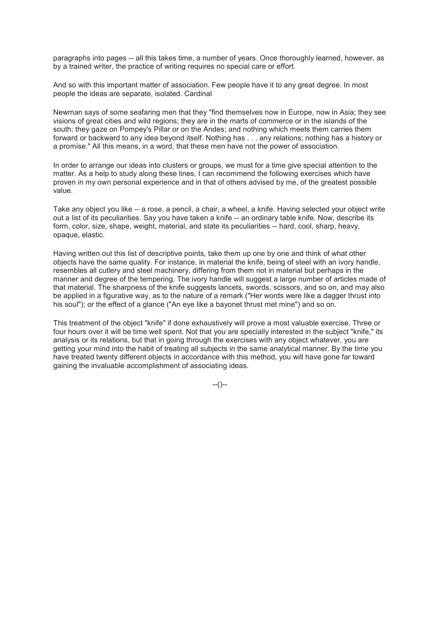paragraphs into pages -- all this takes time, a number of years. Once thoroughly learned, however, as by a trained writer, the practice of writing requires no special care or effort.

And so with this important matter of association. Few people have it to any great degree. In most people the ideas are separate, isolated. Cardinal

Newman says of some seafaring men that they "find themselves now in Europe, now in Asia; they see visions of great cities and wild regions; they are in the marts of commerce or in the islands of the south; they gaze on Pompey's Pillar or on the Andes; and nothing which meets them carries them forward or backward to any idea beyond itself. Nothing has . . . any relations; nothing has a history or a promise." All this means, in a word, that these men have not the power of association.

In order to arrange our ideas into clusters or groups, we must for a time give special attention to the matter. As a help to study along these lines, I can recommend the following exercises which have proven in my own personal experience and in that of others advised by me, of the greatest possible value.

Take any object you like -- a rose, a pencil, a chair, a wheel, a knife. Having selected your object write out a list of its peculiarities. Say you have taken a knife -- an ordinary table knife. Now, describe its form, color, size, shape, weight, material, and state its peculiarities -- hard, cool, sharp, heavy, opaque, elastic.

Having written out this list of descriptive points, take them up one by one and think of what other objects have the same quality. For instance, in material the knife, being of steel with an ivory handle, resembles all cutlery and steel machinery, differing from them not in material but perhaps in the manner and degree of the tempering. The ivory handle will suggest a large number of articles made of that material. The sharpness of the knife suggests lancets, swords, scissors, and so on, and may also be applied in a figurative way, as to the nature of a remark ("Her words were like a dagger thrust into his soul"); or the effect of a glance ("An eye like a bayonet thrust met mine") and so on.

This treatment of the object "knife" if done exhaustively will prove a most valuable exercise. Three or four hours over it will be time well spent. Not that you are specially interested in the subject "knife," its analysis or its relations, but that in going through the exercises with any object whatever, you are getting your mind into the habit of treating all subjects in the same analytical manner. By the time you have treated twenty different objects in accordance with this method, you will have gone far toward gaining the invaluable accomplishment of associating ideas.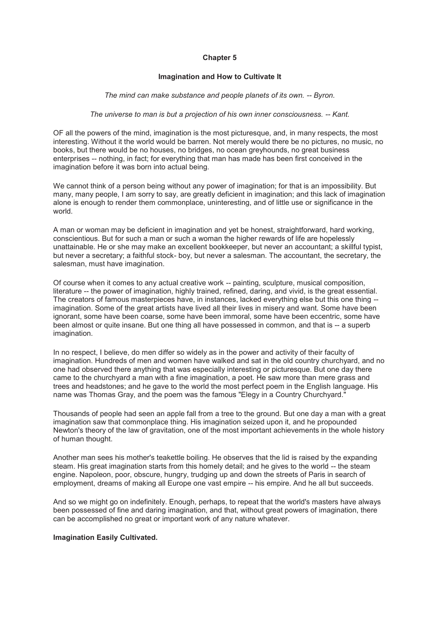# **Imagination and How to Cultivate It**

# *The mind can make substance and people planets of its own. -- Byron.*

#### *The universe to man is but a projection of his own inner consciousness. -- Kant.*

OF all the powers of the mind, imagination is the most picturesque, and, in many respects, the most interesting. Without it the world would be barren. Not merely would there be no pictures, no music, no books, but there would be no houses, no bridges, no ocean greyhounds, no great business enterprises -- nothing, in fact; for everything that man has made has been first conceived in the imagination before it was born into actual being.

We cannot think of a person being without any power of imagination; for that is an impossibility. But many, many people, I am sorry to say, are greatly deficient in imagination; and this lack of imagination alone is enough to render them commonplace, uninteresting, and of little use or significance in the world.

A man or woman may be deficient in imagination and yet be honest, straightforward, hard working, conscientious. But for such a man or such a woman the higher rewards of life are hopelessly unattainable. He or she may make an excellent bookkeeper, but never an accountant; a skillful typist, but never a secretary; a faithful stock- boy, but never a salesman. The accountant, the secretary, the salesman, must have imagination.

Of course when it comes to any actual creative work -- painting, sculpture, musical composition, literature -- the power of imagination, highly trained, refined, daring, and vivid, is the great essential. The creators of famous masterpieces have, in instances, lacked everything else but this one thing - imagination. Some of the great artists have lived all their lives in misery and want. Some have been ignorant, some have been coarse, some have been immoral, some have been eccentric, some have been almost or quite insane. But one thing all have possessed in common, and that is -- a superb imagination.

In no respect, I believe, do men differ so widely as in the power and activity of their faculty of imagination. Hundreds of men and women have walked and sat in the old country churchyard, and no one had observed there anything that was especially interesting or picturesque. But one day there came to the churchyard a man with a fine imagination, a poet. He saw more than mere grass and trees and headstones; and he gave to the world the most perfect poem in the English language. His name was Thomas Gray, and the poem was the famous "Elegy in a Country Churchyard."

Thousands of people had seen an apple fall from a tree to the ground. But one day a man with a great imagination saw that commonplace thing. His imagination seized upon it, and he propounded Newton's theory of the law of gravitation, one of the most important achievements in the whole history of human thought.

Another man sees his mother's teakettle boiling. He observes that the lid is raised by the expanding steam. His great imagination starts from this homely detail; and he gives to the world -- the steam engine. Napoleon, poor, obscure, hungry, trudging up and down the streets of Paris in search of employment, dreams of making all Europe one vast empire -- his empire. And he all but succeeds.

And so we might go on indefinitely. Enough, perhaps, to repeat that the world's masters have always been possessed of fine and daring imagination, and that, without great powers of imagination, there can be accomplished no great or important work of any nature whatever.

# **Imagination Easily Cultivated.**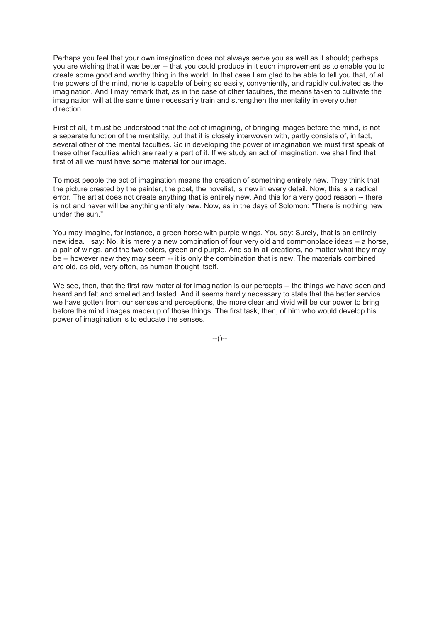Perhaps you feel that your own imagination does not always serve you as well as it should; perhaps you are wishing that it was better -- that you could produce in it such improvement as to enable you to create some good and worthy thing in the world. In that case I am glad to be able to tell you that, of all the powers of the mind, none is capable of being so easily, conveniently, and rapidly cultivated as the imagination. And I may remark that, as in the case of other faculties, the means taken to cultivate the imagination will at the same time necessarily train and strengthen the mentality in every other direction.

First of all, it must be understood that the act of imagining, of bringing images before the mind, is not a separate function of the mentality, but that it is closely interwoven with, partly consists of, in fact, several other of the mental faculties. So in developing the power of imagination we must first speak of these other faculties which are really a part of it. If we study an act of imagination, we shall find that first of all we must have some material for our image.

To most people the act of imagination means the creation of something entirely new. They think that the picture created by the painter, the poet, the novelist, is new in every detail. Now, this is a radical error. The artist does not create anything that is entirely new. And this for a very good reason -- there is not and never will be anything entirely new. Now, as in the days of Solomon: "There is nothing new under the sun."

You may imagine, for instance, a green horse with purple wings. You say: Surely, that is an entirely new idea. I say: No, it is merely a new combination of four very old and commonplace ideas -- a horse, a pair of wings, and the two colors, green and purple. And so in all creations, no matter what they may be -- however new they may seem -- it is only the combination that is new. The materials combined are old, as old, very often, as human thought itself.

We see, then, that the first raw material for imagination is our percepts -- the things we have seen and heard and felt and smelled and tasted. And it seems hardly necessary to state that the better service we have gotten from our senses and perceptions, the more clear and vivid will be our power to bring before the mind images made up of those things. The first task, then, of him who would develop his power of imagination is to educate the senses.

 $-(-)$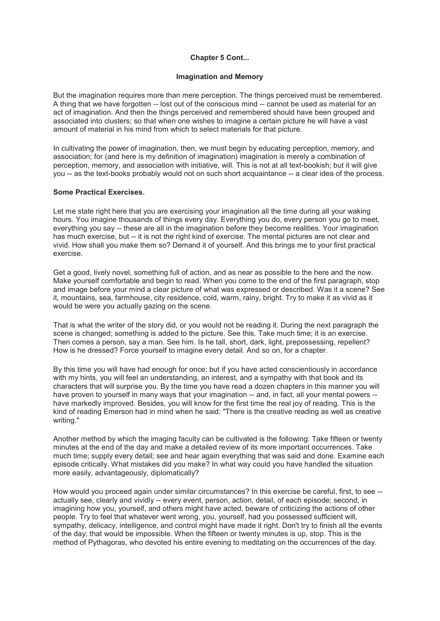# **Chapter 5 Cont...**

## **Imagination and Memory**

But the imagination requires more than mere perception. The things perceived must be remembered. A thing that we have forgotten -- lost out of the conscious mind -- cannot be used as material for an act of imagination. And then the things perceived and remembered should have been grouped and associated into clusters; so that when one wishes to imagine a certain picture he will have a vast amount of material in his mind from which to select materials for that picture.

In cultivating the power of imagination, then, we must begin by educating perception, memory, and association; for (and here is my definition of imagination) imagination is merely a combination of perception, memory, and association with initiative, will. This is not at all text-bookish; but it will give you -- as the text-books probably would not on such short acquaintance -- a clear idea of the process.

# **Some Practical Exercises.**

Let me state right here that you are exercising your imagination all the time during all your waking hours. You imagine thousands of things every day. Everything you do, every person you go to meet, everything you say -- these are all in the imagination before they become realities. Your imagination has much exercise, but -- it is not the right kind of exercise. The mental pictures are not clear and vivid. How shall you make them so? Demand it of yourself. And this brings me to your first practical exercise.

Get a good, lively novel, something full of action, and as near as possible to the here and the now. Make yourself comfortable and begin to read. When you come to the end of the first paragraph, stop and image before your mind a clear picture of what was expressed or described. Was it a scene? See it, mountains, sea, farmhouse, city residence, cold, warm, rainy, bright. Try to make it as vivid as it would be were you actually gazing on the scene.

That is what the writer of the story did, or you would not be reading it. During the next paragraph the scene is changed; something is added to the picture. See this. Take much time; it is an exercise. Then comes a person, say a man. See him. Is he tall, short, dark, light, prepossessing, repellent? How is he dressed? Force yourself to imagine every detail. And so on, for a chapter.

By this time you will have had enough for once; but if you have acted conscientiously in accordance with my hints, you will feel an understanding, an interest, and a sympathy with that book and its characters that will surprise you. By the time you have read a dozen chapters in this manner you will have proven to yourself in many ways that your imagination -- and, in fact, all your mental powers - have markedly improved. Besides, you will know for the first time the real joy of reading. This is the kind of reading Emerson had in mind when he said: "There is the creative reading as well as creative writing."

Another method by which the imaging faculty can be cultivated is the following: Take fifteen or twenty minutes at the end of the day and make a detailed review of its more important occurrences. Take much time; supply every detail; see and hear again everything that was said and done. Examine each episode critically. What mistakes did you make? In what way could you have handled the situation more easily, advantageously, diplomatically?

How would you proceed again under similar circumstances? In this exercise be careful, first, to see - actually see, clearly and vividly -- every event, person, action, detail, of each episode; second, in imagining how you, yourself, and others might have acted, beware of criticizing the actions of other people. Try to feel that whatever went wrong, you, yourself, had you possessed sufficient will, sympathy, delicacy, intelligence, and control might have made it right. Don't try to finish all the events of the day; that would be impossible. When the fifteen or twenty minutes is up, stop. This is the method of Pythagoras, who devoted his entire evening to meditating on the occurrences of the day.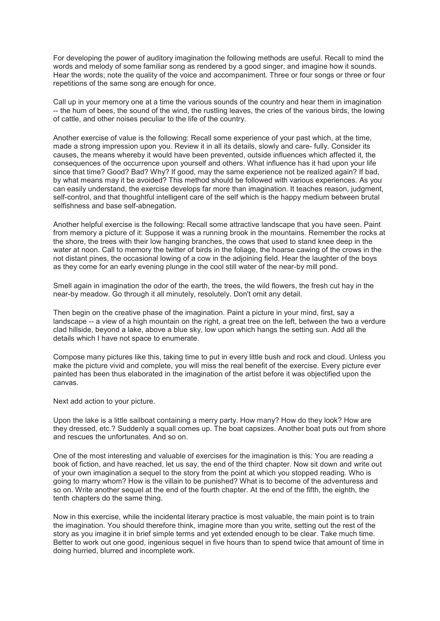For developing the power of auditory imagination the following methods are useful. Recall to mind the words and melody of some familiar song as rendered by a good singer, and imagine how it sounds. Hear the words; note the quality of the voice and accompaniment. Three or four songs or three or four repetitions of the same song are enough for once.

Call up in your memory one at a time the various sounds of the country and hear them in imagination -- the hum of bees, the sound of the wind, the rustling leaves, the cries of the various birds, the lowing of cattle, and other noises peculiar to the life of the country.

Another exercise of value is the following: Recall some experience of your past which, at the time, made a strong impression upon you. Review it in all its details, slowly and care- fully. Consider its causes, the means whereby it would have been prevented, outside influences which affected it, the consequences of the occurrence upon yourself and others. What influence has it had upon your life since that time? Good? Bad? Why? If good, may the same experience not be realized again? If bad, by what means may it be avoided? This method should be followed with various experiences. As you can easily understand, the exercise develops far more than imagination. It teaches reason, judgment, self-control, and that thoughtful intelligent care of the self which is the happy medium between brutal selfishness and base self-abnegation.

Another helpful exercise is the following: Recall some attractive landscape that you have seen. Paint from memory a picture of it: Suppose it was a running brook in the mountains. Remember the rocks at the shore, the trees with their low hanging branches, the cows that used to stand knee deep in the water at noon. Call to memory the twitter of birds in the foliage, the hoarse cawing of the crows in the not distant pines, the occasional lowing of a cow in the adjoining field. Hear the laughter of the boys as they come for an early evening plunge in the cool still water of the near-by mill pond.

Smell again in imagination the odor of the earth, the trees, the wild flowers, the fresh cut hay in the near-by meadow. Go through it all minutely, resolutely. Don't omit any detail.

Then begin on the creative phase of the imagination. Paint a picture in your mind, first, say a landscape -- a view of a high mountain on the right, a great tree on the left, between the two a verdure clad hillside, beyond a lake, above a blue sky, low upon which hangs the setting sun. Add all the details which I have not space to enumerate.

Compose many pictures like this, taking time to put in every little bush and rock and cloud. Unless you make the picture vivid and complete, you will miss the real benefit of the exercise. Every picture ever painted has been thus elaborated in the imagination of the artist before it was objectified upon the canvas.

Next add action to your picture.

Upon the lake is a little sailboat containing a merry party. How many? How do they look? How are they dressed, etc.? Suddenly a squall comes up. The boat capsizes. Another boat puts out from shore and rescues the unfortunates. And so on.

One of the most interesting and valuable of exercises for the imagination is this: You are reading a book of fiction, and have reached, let us say, the end of the third chapter. Now sit down and write out of your own imagination a sequel to the story from the point at which you stopped reading. Who is going to marry whom? How is the villain to be punished? What is to become of the adventuress and so on. Write another sequel at the end of the fourth chapter. At the end of the fifth, the eighth, the tenth chapters do the same thing.

Now in this exercise, while the incidental literary practice is most valuable, the main point is to train the imagination. You should therefore think, imagine more than you write, setting out the rest of the story as you imagine it in brief simple terms and yet extended enough to be clear. Take much time. Better to work out one good, ingenious sequel in five hours than to spend twice that amount of time in doing hurried, blurred and incomplete work.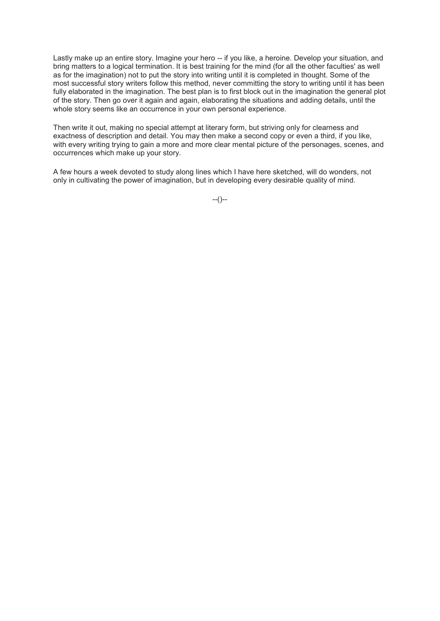Lastly make up an entire story. Imagine your hero -- if you like, a heroine. Develop your situation, and bring matters to a logical termination. It is best training for the mind (for all the other faculties' as well as for the imagination) not to put the story into writing until it is completed in thought. Some of the most successful story writers follow this method, never committing the story to writing until it has been fully elaborated in the imagination. The best plan is to first block out in the imagination the general plot of the story. Then go over it again and again, elaborating the situations and adding details, until the whole story seems like an occurrence in your own personal experience.

Then write it out, making no special attempt at literary form, but striving only for clearness and exactness of description and detail. You may then make a second copy or even a third, if you like, with every writing trying to gain a more and more clear mental picture of the personages, scenes, and occurrences which make up your story.

A few hours a week devoted to study along lines which I have here sketched, will do wonders, not only in cultivating the power of imagination, but in developing every desirable quality of mind.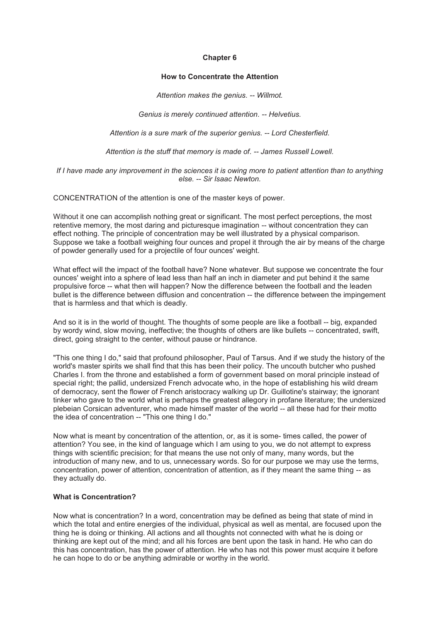# **How to Concentrate the Attention**

*Attention makes the genius. -- Willmot.*

*Genius is merely continued attention. -- Helvetius.*

*Attention is a sure mark of the superior genius. -- Lord Chesterfield.*

*Attention is the stuff that memory is made of. -- James Russell Lowell.*

# *If I have made any improvement in the sciences it is owing more to patient attention than to anything else. -- Sir Isaac Newton.*

CONCENTRATION of the attention is one of the master keys of power.

Without it one can accomplish nothing great or significant. The most perfect perceptions, the most retentive memory, the most daring and picturesque imagination -- without concentration they can effect nothing. The principle of concentration may be well illustrated by a physical comparison. Suppose we take a football weighing four ounces and propel it through the air by means of the charge of powder generally used for a projectile of four ounces' weight.

What effect will the impact of the football have? None whatever. But suppose we concentrate the four ounces' weight into a sphere of lead less than half an inch in diameter and put behind it the same propulsive force -- what then will happen? Now the difference between the football and the leaden bullet is the difference between diffusion and concentration -- the difference between the impingement that is harmless and that which is deadly.

And so it is in the world of thought. The thoughts of some people are like a football -- big, expanded by wordy wind, slow moving, ineffective; the thoughts of others are like bullets -- concentrated, swift, direct, going straight to the center, without pause or hindrance.

"This one thing I do," said that profound philosopher, Paul of Tarsus. And if we study the history of the world's master spirits we shall find that this has been their policy. The uncouth butcher who pushed Charles I. from the throne and established a form of government based on moral principle instead of special right; the pallid, undersized French advocate who, in the hope of establishing his wild dream of democracy, sent the flower of French aristocracy walking up Dr. Guillotine's stairway; the ignorant tinker who gave to the world what is perhaps the greatest allegory in profane literature; the undersized plebeian Corsican adventurer, who made himself master of the world -- all these had for their motto the idea of concentration -- "This one thing I do."

Now what is meant by concentration of the attention, or, as it is some- times called, the power of attention? You see, in the kind of language which I am using to you, we do not attempt to express things with scientific precision; for that means the use not only of many, many words, but the introduction of many new, and to us, unnecessary words. So for our purpose we may use the terms, concentration, power of attention, concentration of attention, as if they meant the same thing -- as they actually do.

# **What is Concentration?**

Now what is concentration? In a word, concentration may be defined as being that state of mind in which the total and entire energies of the individual, physical as well as mental, are focused upon the thing he is doing or thinking. All actions and all thoughts not connected with what he is doing or thinking are kept out of the mind; and all his forces are bent upon the task in hand. He who can do this has concentration, has the power of attention. He who has not this power must acquire it before he can hope to do or be anything admirable or worthy in the world.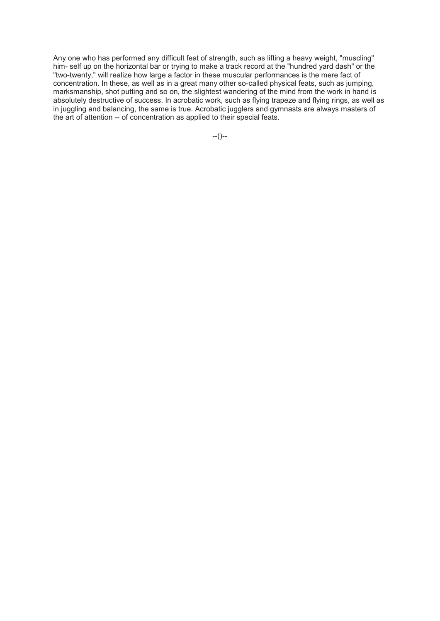Any one who has performed any difficult feat of strength, such as lifting a heavy weight, "muscling" him- self up on the horizontal bar or trying to make a track record at the "hundred yard dash" or the "two-twenty," will realize how large a factor in these muscular performances is the mere fact of concentration. In these, as well as in a great many other so-called physical feats, such as jumping, marksmanship, shot putting and so on, the slightest wandering of the mind from the work in hand is absolutely destructive of success. In acrobatic work, such as flying trapeze and flying rings, as well as in juggling and balancing, the same is true. Acrobatic jugglers and gymnasts are always masters of the art of attention -- of concentration as applied to their special feats.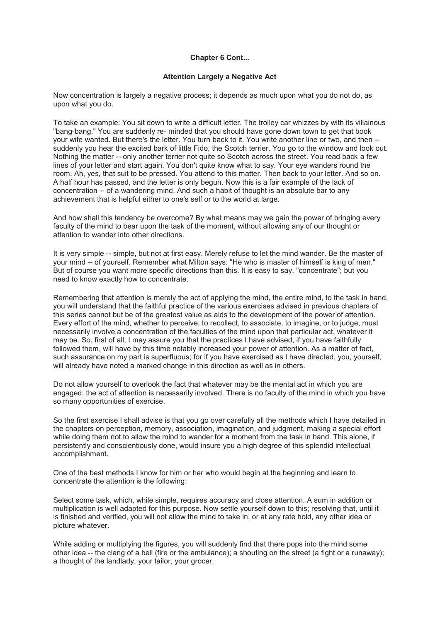# **Chapter 6 Cont...**

# **Attention Largely a Negative Act**

Now concentration is largely a negative process; it depends as much upon what you do not do, as upon what you do.

To take an example: You sit down to write a difficult letter. The trolley car whizzes by with its villainous "bang-bang." You are suddenly re- minded that you should have gone down town to get that book your wife wanted. But there's the letter. You turn back to it. You write another line or two, and then - suddenly you hear the excited bark of little Fido, the Scotch terrier. You go to the window and look out. Nothing the matter -- only another terrier not quite so Scotch across the street. You read back a few lines of your letter and start again. You don't quite know what to say. Your eye wanders round the room. Ah, yes, that suit to be pressed. You attend to this matter. Then back to your letter. And so on. A half hour has passed, and the letter is only begun. Now this is a fair example of the lack of concentration -- of a wandering mind. And such a habit of thought is an absolute bar to any achievement that is helpful either to one's self or to the world at large.

And how shall this tendency be overcome? By what means may we gain the power of bringing every faculty of the mind to bear upon the task of the moment, without allowing any of our thought or attention to wander into other directions.

It is very simple -- simple, but not at first easy. Merely refuse to let the mind wander. Be the master of your mind -- of yourself. Remember what Milton says: "He who is master of himself is king of men." But of course you want more specific directions than this. It is easy to say, "concentrate"; but you need to know exactly how to concentrate.

Remembering that attention is merely the act of applying the mind, the entire mind, to the task in hand, you will understand that the faithful practice of the various exercises advised in previous chapters of this series cannot but be of the greatest value as aids to the development of the power of attention. Every effort of the mind, whether to perceive, to recollect, to associate, to imagine, or to judge, must necessarily involve a concentration of the faculties of the mind upon that particular act, whatever it may be. So, first of all, I may assure you that the practices I have advised, if you have faithfully followed them, will have by this time notably increased your power of attention. As a matter of fact, such assurance on my part is superfluous; for if you have exercised as I have directed, you, yourself, will already have noted a marked change in this direction as well as in others.

Do not allow yourself to overlook the fact that whatever may be the mental act in which you are engaged, the act of attention is necessarily involved. There is no faculty of the mind in which you have so many opportunities of exercise.

So the first exercise I shall advise is that you go over carefully all the methods which I have detailed in the chapters on perception, memory, association, imagination, and judgment, making a special effort while doing them not to allow the mind to wander for a moment from the task in hand. This alone, if persistently and conscientiously done, would insure you a high degree of this splendid intellectual accomplishment.

One of the best methods I know for him or her who would begin at the beginning and learn to concentrate the attention is the following:

Select some task, which, while simple, requires accuracy and close attention. A sum in addition or multiplication is well adapted for this purpose. Now settle yourself down to this; resolving that, until it is finished and verified, you will not allow the mind to take in, or at any rate hold, any other idea or picture whatever.

While adding or multiplying the figures, you will suddenly find that there pops into the mind some other idea -- the clang of a bell (fire or the ambulance); a shouting on the street (a fight or a runaway); a thought of the landlady, your tailor, your grocer.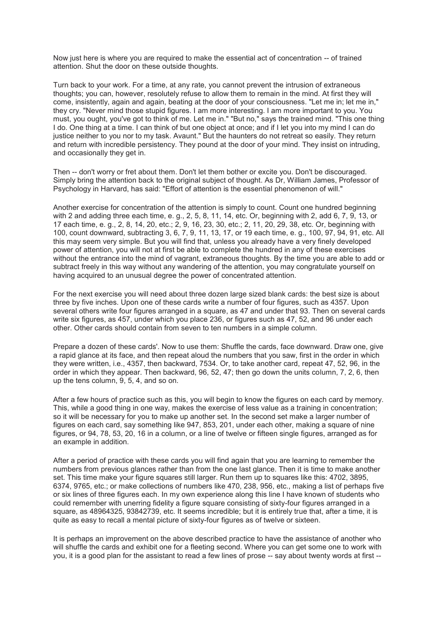Now just here is where you are required to make the essential act of concentration -- of trained attention. Shut the door on these outside thoughts.

Turn back to your work. For a time, at any rate, you cannot prevent the intrusion of extraneous thoughts; you can, however, resolutely refuse to allow them to remain in the mind. At first they will come, insistently, again and again, beating at the door of your consciousness. "Let me in; let me in," they cry. "Never mind those stupid figures. I am more interesting. I am more important to you. You must, you ought, you've got to think of me. Let me in." "But no," says the trained mind. "This one thing I do. One thing at a time. I can think of but one object at once; and if I let you into my mind I can do justice neither to you nor to my task. Avaunt." But the haunters do not retreat so easily. They return and return with incredible persistency. They pound at the door of your mind. They insist on intruding, and occasionally they get in.

Then -- don't worry or fret about them. Don't let them bother or excite you. Don't be discouraged. Simply bring the attention back to the original subject of thought. As Dr, William James, Professor of Psychology in Harvard, has said: "Effort of attention is the essential phenomenon of will."

Another exercise for concentration of the attention is simply to count. Count one hundred beginning with 2 and adding three each time, e. g., 2, 5, 8, 11, 14, etc. Or, beginning with 2, add 6, 7, 9, 13, or 17 each time, e. g., 2, 8, 14, 20, etc.; 2, 9, 16, 23, 30, etc.; 2, 11, 20, 29, 38, etc. Or, beginning with 100, count downward, subtracting 3, 6, 7, 9, 11, 13, 17, or 19 each time, e. g., 100, 97, 94, 91, etc. All this may seem very simple. But you will find that, unless you already have a very finely developed power of attention, you will not at first be able to complete the hundred in any of these exercises without the entrance into the mind of vagrant, extraneous thoughts. By the time you are able to add or subtract freely in this way without any wandering of the attention, you may congratulate yourself on having acquired to an unusual degree the power of concentrated attention.

For the next exercise you will need about three dozen large sized blank cards: the best size is about three by five inches. Upon one of these cards write a number of four figures, such as 4357. Upon several others write four figures arranged in a square, as 47 and under that 93. Then on several cards write six figures, as 457, under which you place 236, or figures such as 47, 52, and 96 under each other. Other cards should contain from seven to ten numbers in a simple column.

Prepare a dozen of these cards'. Now to use them: Shuffle the cards, face downward. Draw one, give a rapid glance at its face, and then repeat aloud the numbers that you saw, first in the order in which they were written, i.e., 4357, then backward, 7534. Or, to take another card, repeat 47, 52, 96, in the order in which they appear. Then backward, 96, 52, 47; then go down the units column, 7, 2, 6, then up the tens column, 9, 5, 4, and so on.

After a few hours of practice such as this, you will begin to know the figures on each card by memory. This, while a good thing in one way, makes the exercise of less value as a training in concentration; so it will be necessary for you to make up another set. In the second set make a larger number of figures on each card, say something like 947, 853, 201, under each other, making a square of nine figures, or 94, 78, 53, 20, 16 in a column, or a line of twelve or fifteen single figures, arranged as for an example in addition.

After a period of practice with these cards you will find again that you are learning to remember the numbers from previous glances rather than from the one last glance. Then it is time to make another set. This time make your figure squares still larger. Run them up to squares like this: 4702, 3895, 6374, 9765, etc.; or make collections of numbers like 470, 238, 956, etc., making a list of perhaps five or six lines of three figures each. In my own experience along this line I have known of students who could remember with unerring fidelity a figure square consisting of sixty-four figures arranged in a square, as 48964325, 93842739, etc. It seems incredible; but it is entirely true that, after a time, it is quite as easy to recall a mental picture of sixty-four figures as of twelve or sixteen.

It is perhaps an improvement on the above described practice to have the assistance of another who will shuffle the cards and exhibit one for a fleeting second. Where you can get some one to work with you, it is a good plan for the assistant to read a few lines of prose -- say about twenty words at first --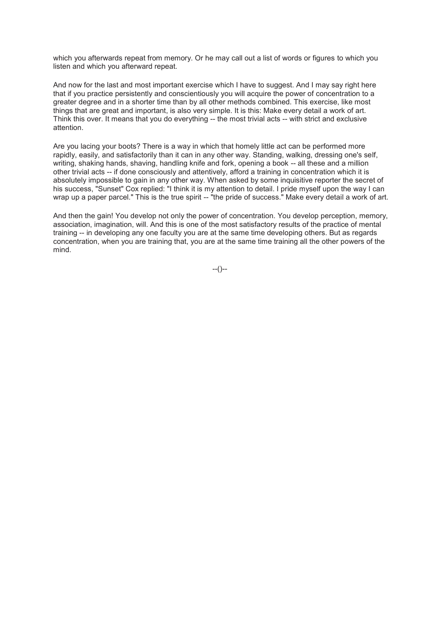which you afterwards repeat from memory. Or he may call out a list of words or figures to which you listen and which you afterward repeat.

And now for the last and most important exercise which I have to suggest. And I may say right here that if you practice persistently and conscientiously you will acquire the power of concentration to a greater degree and in a shorter time than by all other methods combined. This exercise, like most things that are great and important, is also very simple. It is this: Make every detail a work of art. Think this over. It means that you do everything -- the most trivial acts -- with strict and exclusive attention.

Are you lacing your boots? There is a way in which that homely little act can be performed more rapidly, easily, and satisfactorily than it can in any other way. Standing, walking, dressing one's self, writing, shaking hands, shaving, handling knife and fork, opening a book -- all these and a million other trivial acts -- if done consciously and attentively, afford a training in concentration which it is absolutely impossible to gain in any other way. When asked by some inquisitive reporter the secret of his success, "Sunset" Cox replied: "I think it is my attention to detail. I pride myself upon the way I can wrap up a paper parcel." This is the true spirit -- "the pride of success." Make every detail a work of art.

And then the gain! You develop not only the power of concentration. You develop perception, memory, association, imagination, will. And this is one of the most satisfactory results of the practice of mental training -- in developing any one faculty you are at the same time developing others. But as regards concentration, when you are training that, you are at the same time training all the other powers of the mind.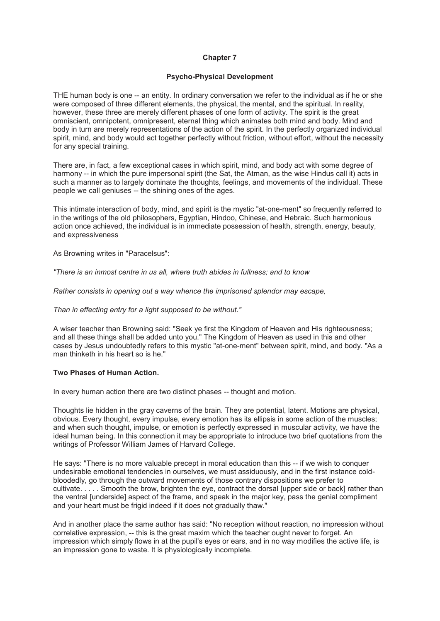# **Psycho-Physical Development**

THE human body is one -- an entity. In ordinary conversation we refer to the individual as if he or she were composed of three different elements, the physical, the mental, and the spiritual. In reality, however, these three are merely different phases of one form of activity. The spirit is the great omniscient, omnipotent, omnipresent, eternal thing which animates both mind and body. Mind and body in turn are merely representations of the action of the spirit. In the perfectly organized individual spirit, mind, and body would act together perfectly without friction, without effort, without the necessity for any special training.

There are, in fact, a few exceptional cases in which spirit, mind, and body act with some degree of harmony -- in which the pure impersonal spirit (the Sat, the Atman, as the wise Hindus call it) acts in such a manner as to largely dominate the thoughts, feelings, and movements of the individual. These people we call geniuses -- the shining ones of the ages.

This intimate interaction of body, mind, and spirit is the mystic "at-one-ment" so frequently referred to in the writings of the old philosophers, Egyptian, Hindoo, Chinese, and Hebraic. Such harmonious action once achieved, the individual is in immediate possession of health, strength, energy, beauty, and expressiveness

As Browning writes in "Paracelsus":

*"There is an inmost centre in us all, where truth abides in fullness; and to know*

*Rather consists in opening out a way whence the imprisoned splendor may escape,*

*Than in effecting entry for a light supposed to be without."*

A wiser teacher than Browning said: "Seek ye first the Kingdom of Heaven and His righteousness; and all these things shall be added unto you." The Kingdom of Heaven as used in this and other cases by Jesus undoubtedly refers to this mystic "at-one-ment" between spirit, mind, and body. "As a man thinketh in his heart so is he."

# **Two Phases of Human Action.**

In every human action there are two distinct phases -- thought and motion.

Thoughts lie hidden in the gray caverns of the brain. They are potential, latent. Motions are physical, obvious. Every thought, every impulse, every emotion has its ellipsis in some action of the muscles; and when such thought, impulse, or emotion is perfectly expressed in muscular activity, we have the ideal human being. In this connection it may be appropriate to introduce two brief quotations from the writings of Professor William James of Harvard College.

He says: "There is no more valuable precept in moral education than this -- if we wish to conquer undesirable emotional tendencies in ourselves, we must assiduously, and in the first instance coldbloodedly, go through the outward movements of those contrary dispositions we prefer to cultivate. . . . . Smooth the brow, brighten the eye, contract the dorsal [upper side or back] rather than the ventral [underside] aspect of the frame, and speak in the major key, pass the genial compliment and your heart must be frigid indeed if it does not gradually thaw."

And in another place the same author has said: "No reception without reaction, no impression without correlative expression, -- this is the great maxim which the teacher ought never to forget. An impression which simply flows in at the pupil's eyes or ears, and in no way modifies the active life, is an impression gone to waste. It is physiologically incomplete.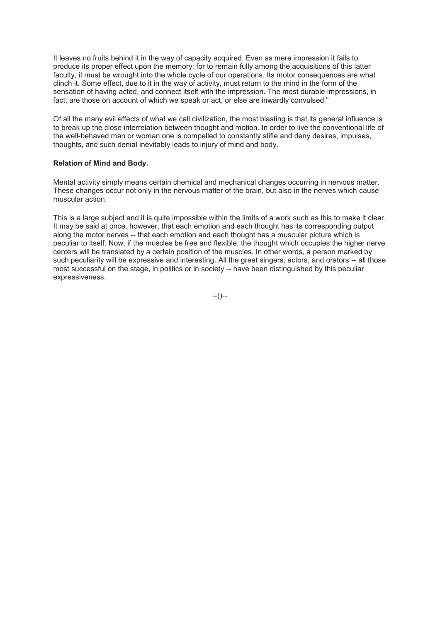It leaves no fruits behind it in the way of capacity acquired. Even as mere impression it fails to produce its proper effect upon the memory; for to remain fully among the acquisitions of this latter faculty, it must be wrought into the whole cycle of our operations. Its motor consequences are what clinch it. Some effect, due to it in the way of activity, must return to the mind in the form of the sensation of having acted, and connect itself with the impression. The most durable impressions, in fact, are those on account of which we speak or act, or else are inwardly convulsed."

Of all the many evil effects of what we call civilization, the most blasting is that its general influence is to break up the close interrelation between thought and motion. In order to live the conventional life of the well-behaved man or woman one is compelled to constantly stifle and deny desires, impulses, thoughts, and such denial inevitably leads to injury of mind and body.

# **Relation of Mind and Body.**

Mental activity simply means certain chemical and mechanical changes occurring in nervous matter. These changes occur not only in the nervous matter of the brain, but also in the nerves which cause muscular action.

This is a large subject and it is quite impossible within the limits of a work such as this to make it clear. It may be said at once, however, that each emotion and each thought has its corresponding output along the motor nerves -- that each emotion and each thought has a muscular picture which is peculiar to itself. Now, if the muscles be free and flexible, the thought which occupies the higher nerve centers will be translated by a certain position of the muscles. In other words, a person marked by such peculiarity will be expressive and interesting. All the great singers, actors, and orators -- all those most successful on the stage, in politics or in society -- have been distinguished by this peculiar expressiveness.

 $-(-)$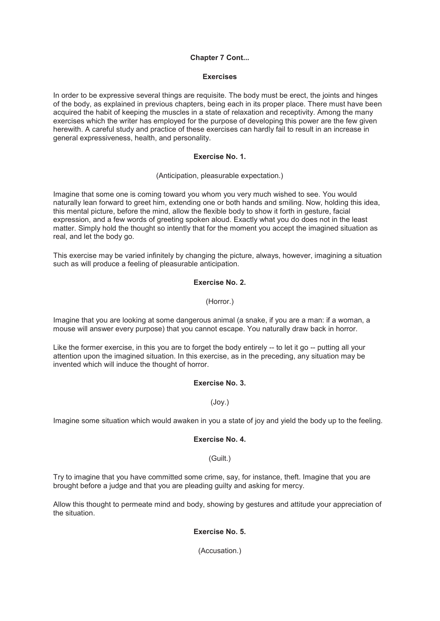# **Chapter 7 Cont...**

# **Exercises**

In order to be expressive several things are requisite. The body must be erect, the joints and hinges of the body, as explained in previous chapters, being each in its proper place. There must have been acquired the habit of keeping the muscles in a state of relaxation and receptivity. Among the many exercises which the writer has employed for the purpose of developing this power are the few given herewith. A careful study and practice of these exercises can hardly fail to result in an increase in general expressiveness, health, and personality.

# **Exercise No. 1.**

(Anticipation, pleasurable expectation.)

Imagine that some one is coming toward you whom you very much wished to see. You would naturally lean forward to greet him, extending one or both hands and smiling. Now, holding this idea, this mental picture, before the mind, allow the flexible body to show it forth in gesture, facial expression, and a few words of greeting spoken aloud. Exactly what you do does not in the least matter. Simply hold the thought so intently that for the moment you accept the imagined situation as real, and let the body go.

This exercise may be varied infinitely by changing the picture, always, however, imagining a situation such as will produce a feeling of pleasurable anticipation.

# **Exercise No. 2.**

(Horror.)

Imagine that you are looking at some dangerous animal (a snake, if you are a man: if a woman, a mouse will answer every purpose) that you cannot escape. You naturally draw back in horror.

Like the former exercise, in this you are to forget the body entirely -- to let it go -- putting all your attention upon the imagined situation. In this exercise, as in the preceding, any situation may be invented which will induce the thought of horror.

# **Exercise No. 3.**

(Joy.)

Imagine some situation which would awaken in you a state of joy and yield the body up to the feeling.

# **Exercise No. 4.**

(Guilt.)

Try to imagine that you have committed some crime, say, for instance, theft. Imagine that you are brought before a judge and that you are pleading guilty and asking for mercy.

Allow this thought to permeate mind and body, showing by gestures and attitude your appreciation of the situation.

**Exercise No. 5.**

(Accusation.)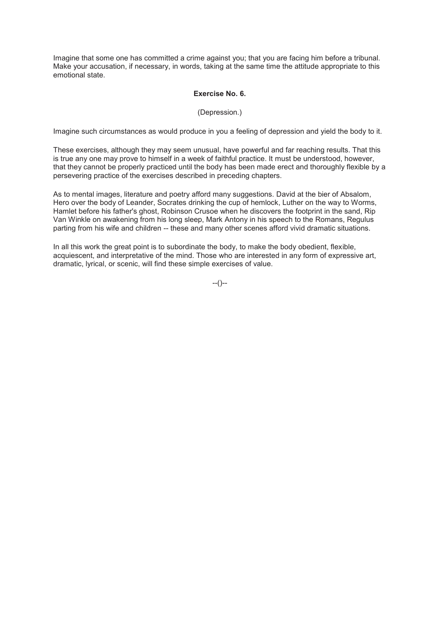Imagine that some one has committed a crime against you; that you are facing him before a tribunal. Make your accusation, if necessary, in words, taking at the same time the attitude appropriate to this emotional state.

# **Exercise No. 6.**

# (Depression.)

Imagine such circumstances as would produce in you a feeling of depression and yield the body to it.

These exercises, although they may seem unusual, have powerful and far reaching results. That this is true any one may prove to himself in a week of faithful practice. It must be understood, however, that they cannot be properly practiced until the body has been made erect and thoroughly flexible by a persevering practice of the exercises described in preceding chapters.

As to mental images, literature and poetry afford many suggestions. David at the bier of Absalom, Hero over the body of Leander, Socrates drinking the cup of hemlock, Luther on the way to Worms, Hamlet before his father's ghost, Robinson Crusoe when he discovers the footprint in the sand, Rip Van Winkle on awakening from his long sleep, Mark Antony in his speech to the Romans, Regulus parting from his wife and children -- these and many other scenes afford vivid dramatic situations.

In all this work the great point is to subordinate the body, to make the body obedient, flexible, acquiescent, and interpretative of the mind. Those who are interested in any form of expressive art, dramatic, lyrical, or scenic, will find these simple exercises of value.

 $-(-)$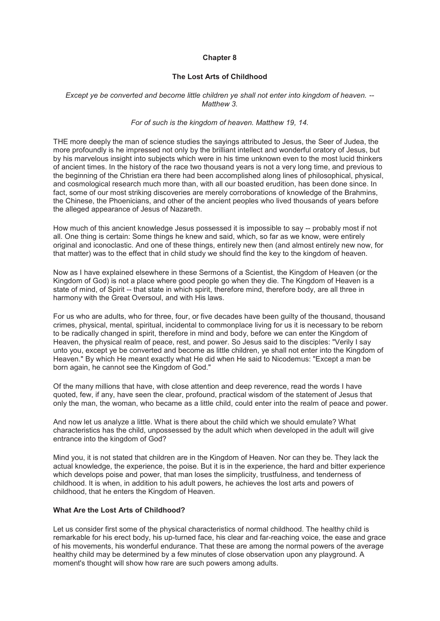# **The Lost Arts of Childhood**

#### *Except ye be converted and become little children ye shall not enter into kingdom of heaven. -- Matthew 3.*

#### *For of such is the kingdom of heaven. Matthew 19, 14.*

THE more deeply the man of science studies the sayings attributed to Jesus, the Seer of Judea, the more profoundly is he impressed not only by the brilliant intellect and wonderful oratory of Jesus, but by his marvelous insight into subjects which were in his time unknown even to the most lucid thinkers of ancient times. In the history of the race two thousand years is not a very long time, and previous to the beginning of the Christian era there had been accomplished along lines of philosophical, physical, and cosmological research much more than, with all our boasted erudition, has been done since. In fact, some of our most striking discoveries are merely corroborations of knowledge of the Brahmins, the Chinese, the Phoenicians, and other of the ancient peoples who lived thousands of years before the alleged appearance of Jesus of Nazareth.

How much of this ancient knowledge Jesus possessed it is impossible to say -- probably most if not all. One thing is certain: Some things he knew and said, which, so far as we know, were entirely original and iconoclastic. And one of these things, entirely new then (and almost entirely new now, for that matter) was to the effect that in child study we should find the key to the kingdom of heaven.

Now as I have explained elsewhere in these Sermons of a Scientist, the Kingdom of Heaven (or the Kingdom of God) is not a place where good people go when they die. The Kingdom of Heaven is a state of mind, of Spirit -- that state in which spirit, therefore mind, therefore body, are all three in harmony with the Great Oversoul, and with His laws.

For us who are adults, who for three, four, or five decades have been guilty of the thousand, thousand crimes, physical, mental, spiritual, incidental to commonplace living for us it is necessary to be reborn to be radically changed in spirit, therefore in mind and body, before we can enter the Kingdom of Heaven, the physical realm of peace, rest, and power. So Jesus said to the disciples: "Verily I say unto you, except ye be converted and become as little children, ye shall not enter into the Kingdom of Heaven." By which He meant exactly what He did when He said to Nicodemus: "Except a man be born again, he cannot see the Kingdom of God."

Of the many millions that have, with close attention and deep reverence, read the words I have quoted, few, if any, have seen the clear, profound, practical wisdom of the statement of Jesus that only the man, the woman, who became as a little child, could enter into the realm of peace and power.

And now let us analyze a little. What is there about the child which we should emulate? What characteristics has the child, unpossessed by the adult which when developed in the adult will give entrance into the kingdom of God?

Mind you, it is not stated that children are in the Kingdom of Heaven. Nor can they be. They lack the actual knowledge, the experience, the poise. But it is in the experience, the hard and bitter experience which develops poise and power, that man loses the simplicity, trustfulness, and tenderness of childhood. It is when, in addition to his adult powers, he achieves the lost arts and powers of childhood, that he enters the Kingdom of Heaven.

# **What Are the Lost Arts of Childhood?**

Let us consider first some of the physical characteristics of normal childhood. The healthy child is remarkable for his erect body, his up-turned face, his clear and far-reaching voice, the ease and grace of his movements, his wonderful endurance. That these are among the normal powers of the average healthy child may be determined by a few minutes of close observation upon any playground. A moment's thought will show how rare are such powers among adults.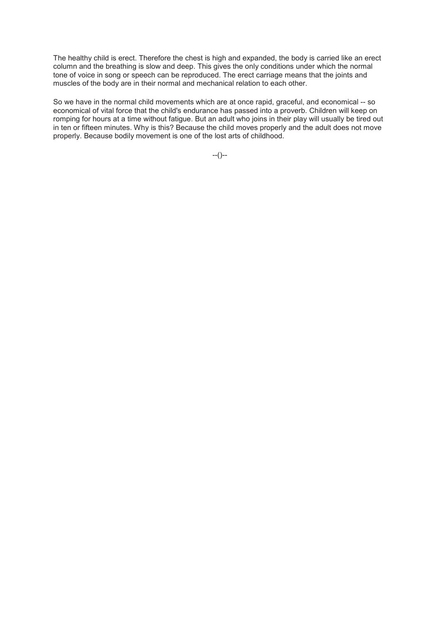The healthy child is erect. Therefore the chest is high and expanded, the body is carried like an erect column and the breathing is slow and deep. This gives the only conditions under which the normal tone of voice in song or speech can be reproduced. The erect carriage means that the joints and muscles of the body are in their normal and mechanical relation to each other.

So we have in the normal child movements which are at once rapid, graceful, and economical -- so economical of vital force that the child's endurance has passed into a proverb. Children will keep on romping for hours at a time without fatigue. But an adult who joins in their play will usually be tired out in ten or fifteen minutes. Why is this? Because the child moves properly and the adult does not move properly. Because bodily movement is one of the lost arts of childhood.